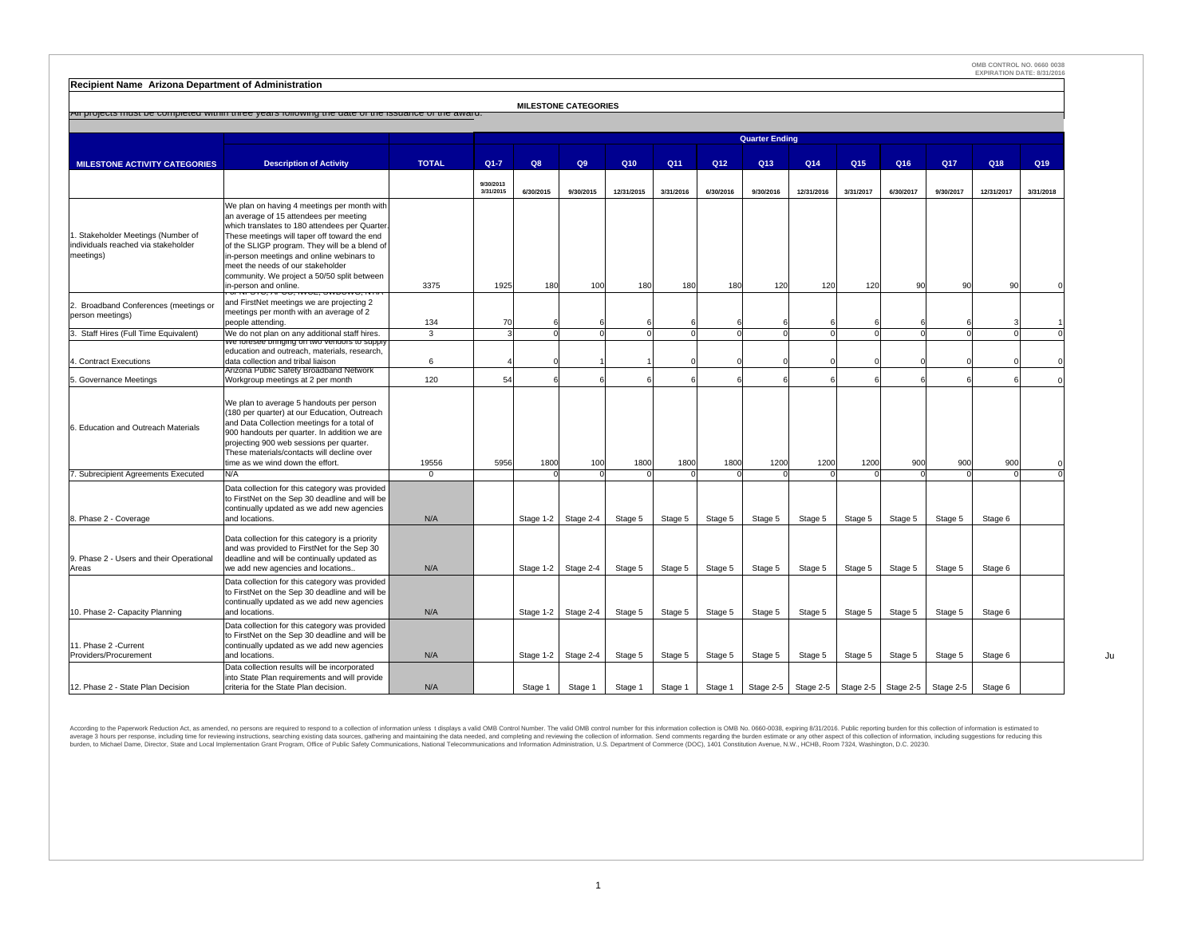**Recipient Name Arizona Department of Administration**

|                                                                                        | All projects must be completed within three years following the date of the issuance of the award.                                                                                                                                                                                                                                                                                               |              |                        |           | <b>MILESTONE CATEGORIES</b> |                 |                 |                 |                       |            |                 |                               |           |            |                 |
|----------------------------------------------------------------------------------------|--------------------------------------------------------------------------------------------------------------------------------------------------------------------------------------------------------------------------------------------------------------------------------------------------------------------------------------------------------------------------------------------------|--------------|------------------------|-----------|-----------------------------|-----------------|-----------------|-----------------|-----------------------|------------|-----------------|-------------------------------|-----------|------------|-----------------|
|                                                                                        |                                                                                                                                                                                                                                                                                                                                                                                                  |              |                        |           |                             |                 |                 |                 | <b>Quarter Ending</b> |            |                 |                               |           |            |                 |
| <b>MILESTONE ACTIVITY CATEGORIES</b>                                                   | <b>Description of Activity</b>                                                                                                                                                                                                                                                                                                                                                                   | <b>TOTAL</b> | $Q1 - 7$               | Q8        | Q9                          | Q <sub>10</sub> | Q <sub>11</sub> | Q <sub>12</sub> | Q <sub>13</sub>       | Q14        | Q <sub>15</sub> | Q16                           | Q17       | Q18        | Q <sub>19</sub> |
|                                                                                        |                                                                                                                                                                                                                                                                                                                                                                                                  |              | 9/30/2013<br>3/31/2015 | 6/30/2015 | 9/30/2015                   | 12/31/2015      | 3/31/2016       | 6/30/2016       | 9/30/2016             | 12/31/2016 | 3/31/2017       | 6/30/2017                     | 9/30/2017 | 12/31/2017 | 3/31/2018       |
| 1. Stakeholder Meetings (Number of<br>individuals reached via stakeholder<br>meetings) | We plan on having 4 meetings per month with<br>an average of 15 attendees per meeting<br>which translates to 180 attendees per Quarter<br>These meetings will taper off toward the end<br>of the SLIGP program. They will be a blend of<br>in-person meetings and online webinars to<br>meet the needs of our stakeholder<br>community. We project a 50/50 split between<br>in-person and online | 3375         | 1925                   | 180       | 100                         | 180             | 180             | 180             | 120                   | 120        | 120             | 90                            | 90        | 90         |                 |
| 2. Broadband Conferences (meetings or<br>person meetings)                              | and FirstNet meetings we are projecting 2<br>meetings per month with an average of 2<br>people attending.                                                                                                                                                                                                                                                                                        | 134          | 70                     |           |                             |                 |                 |                 |                       |            |                 |                               |           |            |                 |
| 3. Staff Hires (Full Time Equivalent)                                                  | We do not plan on any additional staff hires.                                                                                                                                                                                                                                                                                                                                                    | 3            |                        |           |                             |                 |                 |                 |                       |            |                 |                               |           |            |                 |
| 4. Contract Executions                                                                 | ve ioresee oringing on two venuors to supply<br>education and outreach, materials, research,<br>data collection and tribal liaison                                                                                                                                                                                                                                                               | 6            |                        |           |                             |                 |                 |                 |                       |            |                 |                               |           |            |                 |
| 5. Governance Meetings                                                                 | Arizona Public Safety Broadband Network<br>Workgroup meetings at 2 per month                                                                                                                                                                                                                                                                                                                     | 120          | 54                     |           |                             |                 |                 |                 |                       |            |                 |                               |           |            |                 |
| 6. Education and Outreach Materials                                                    | We plan to average 5 handouts per person<br>(180 per quarter) at our Education, Outreach<br>and Data Collection meetings for a total of<br>900 handouts per quarter. In addition we are<br>projecting 900 web sessions per quarter.<br>These materials/contacts will decline over<br>time as we wind down the effort.                                                                            | 19556        | 5956                   | 1800      | 100                         | 1800            | 1800            | 1800            | 1200                  | 1200       | 1200            | 900                           | 900       | 900        |                 |
| 7. Subrecipient Agreements Executed                                                    | N/A                                                                                                                                                                                                                                                                                                                                                                                              | $\mathbf{0}$ |                        |           |                             |                 |                 |                 |                       |            |                 |                               |           |            |                 |
| 8. Phase 2 - Coverage                                                                  | Data collection for this category was provided<br>to FirstNet on the Sep 30 deadline and will be<br>continually updated as we add new agencies<br>and locations.                                                                                                                                                                                                                                 | N/A          |                        | Stage 1-2 | Stage 2-4                   | Stage 5         | Stage 5         | Stage 5         | Stage 5               | Stage 5    | Stage 5         | Stage 5                       | Stage 5   | Stage 6    |                 |
| 9. Phase 2 - Users and their Operational<br>Areas                                      | Data collection for this category is a priority<br>and was provided to FirstNet for the Sep 30<br>deadline and will be continually updated as<br>we add new agencies and locations                                                                                                                                                                                                               | N/A          |                        |           | Stage 1-2 Stage 2-4         | Stage 5         | Stage 5         | Stage 5         | Stage 5               | Stage 5    | Stage 5         | Stage 5                       | Stage 5   | Stage 6    |                 |
| 10. Phase 2- Capacity Planning                                                         | Data collection for this category was provided<br>to FirstNet on the Sep 30 deadline and will be<br>continually updated as we add new agencies<br>and locations.                                                                                                                                                                                                                                 | N/A          |                        | Stage 1-2 | Stage 2-4                   | Stage 5         | Stage 5         | Stage 5         | Stage 5               | Stage 5    | Stage 5         | Stage 5                       | Stage 5   | Stage 6    |                 |
| 11. Phase 2 - Current<br>Providers/Procurement                                         | Data collection for this category was provided<br>to FirstNet on the Sep 30 deadline and will be<br>continually updated as we add new agencies<br>and locations.                                                                                                                                                                                                                                 | N/A          |                        | Stage 1-2 | Stage 2-4                   | Stage 5         | Stage 5         | Stage 5         | Stage 5               | Stage 5    | Stage 5         | Stage 5                       | Stage 5   | Stage 6    |                 |
| 12. Phase 2 - State Plan Decision                                                      | Data collection results will be incorporated<br>into State Plan requirements and will provide<br>criteria for the State Plan decision.                                                                                                                                                                                                                                                           | N/A          |                        | Stage 1   | Stage 1                     | Stage 1         | Stage 1         | Stage 1         | Stage 2-5             | Stage 2-5  |                 | Stage 2-5 Stage 2-5 Stage 2-5 |           | Stage 6    |                 |

According to the Paperwork Reduction Act, as amended, no persons are required to respond to a collection of information unless t displays a valid OMB Control Number. The valid OMB control Number for this information collec average 3 hours per spanne, including time for eviewing instructions, searching data sources, gathering and mainlaining the data needed, and completing and reviewing the scule instructions, National Telecommunications, Nat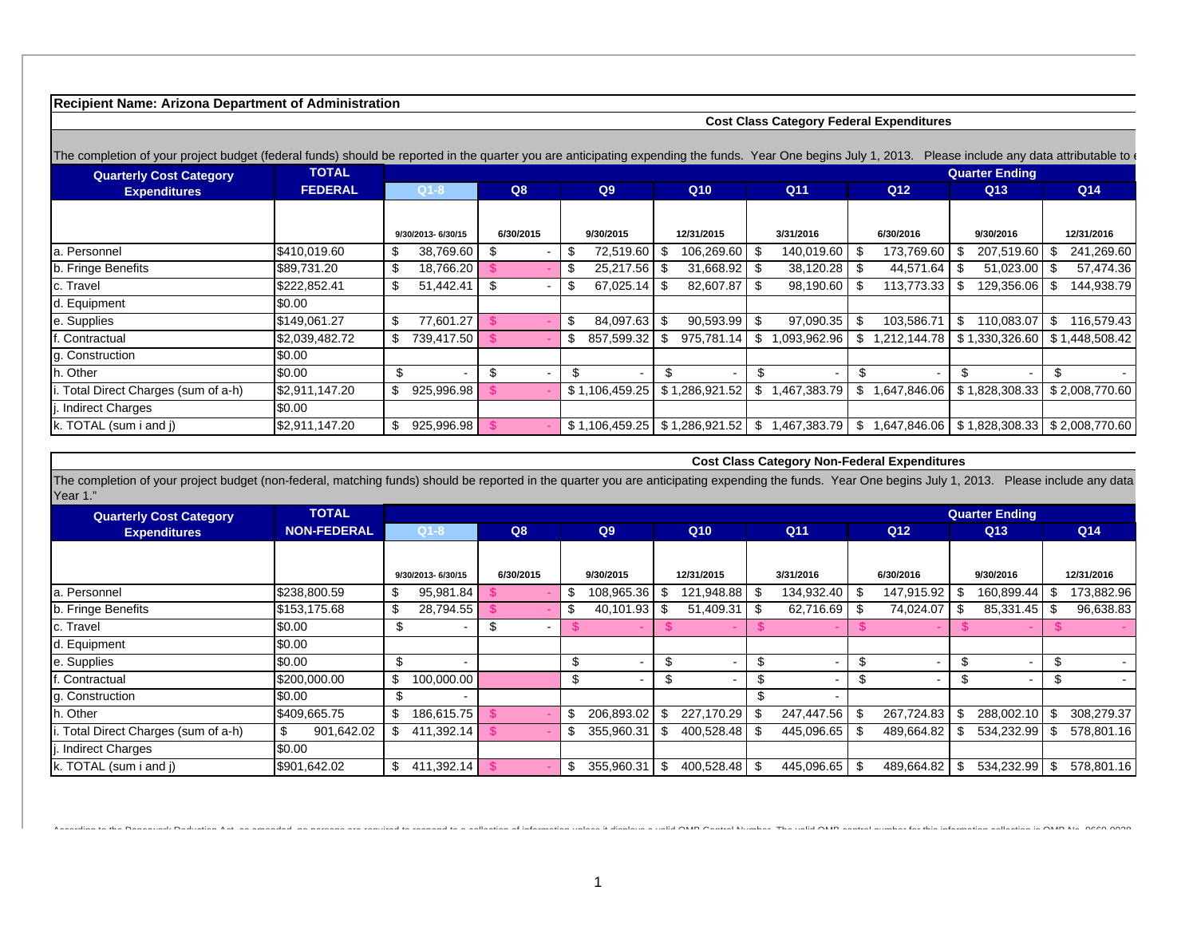# **Recipient Name: Arizona Department of Administration**

#### **Cost Class Category Federal Expenditures**

 **Cost Class Category Non-Federal Expenditures**

| The completion of your project budget (federal funds) should be reported in the quarter you are anticipating expending the funds. Year One begins July 1, 2013. |                |                      |           |                       |                   |                                |                    |                       | Please include any data attributable to |
|-----------------------------------------------------------------------------------------------------------------------------------------------------------------|----------------|----------------------|-----------|-----------------------|-------------------|--------------------------------|--------------------|-----------------------|-----------------------------------------|
| <b>Quarterly Cost Category</b>                                                                                                                                  | <b>TOTAL</b>   |                      |           |                       |                   |                                |                    | <b>Quarter Ending</b> |                                         |
| <b>Expenditures</b>                                                                                                                                             | <b>FEDERAL</b> | $Q1-8$               | Q8        | Q <sub>9</sub>        | Q <sub>10</sub>   | Q <sub>11</sub>                | Q <sub>12</sub>    | Q13                   | Q14                                     |
|                                                                                                                                                                 |                |                      |           |                       |                   |                                |                    |                       |                                         |
|                                                                                                                                                                 |                | 9/30/2013-6/30/15    | 6/30/2015 | 9/30/2015             | 12/31/2015        | 3/31/2016                      | 6/30/2016          | 9/30/2016             | 12/31/2016                              |
| la. Personnel                                                                                                                                                   | \$410,019.60   | 38,769.60<br>\$.     | -S        | 72,519.60             | 106,269.60<br>-SS | 140,019.60                     | 173,769.60         | 207,519.60            | 241,269.60                              |
| b. Fringe Benefits                                                                                                                                              | \$89,731.20    | \$<br>18,766.20      |           | 25,217.56             | 31,668.92         | 38,120.28                      | 44,571.64          | 51,023.00<br>- \$     | 57,474.36                               |
| c. Travel                                                                                                                                                       | \$222,852.41   | S<br>51,442.41       | -\$       | 67,025.14<br>- 71     | 82,607.87         | 98,190.60                      | 113,773.33         | 129,356.06            | 144,938.79                              |
| d. Equipment                                                                                                                                                    | \$0.00         |                      |           |                       |                   |                                |                    |                       |                                         |
| e. Supplies                                                                                                                                                     | \$149,061.27   | 77,601.27<br>\$      |           | 84,097.63<br>\$       | 90,593.99         | 97,090.35                      | 103,586.71         | \$<br>110,083.07      | 116,579.43<br>\$                        |
| . Contractual                                                                                                                                                   | \$2,039,482.72 | \$<br>739,417.50     |           | 857,599.32<br>P       | 975.781.14        | 1,093,962.96                   | 1.212.144.78       | \$1,330,326.60        | \$1,448,508.42                          |
| g. Construction                                                                                                                                                 | \$0.00         |                      |           |                       |                   |                                |                    |                       |                                         |
| h. Other                                                                                                                                                        | \$0.00         | \$<br>$\blacksquare$ | \$        | \$.<br>$\blacksquare$ | \$<br>$\sim$      | \$<br>$\overline{\phantom{0}}$ | \$<br>$\sim$       | \$.<br>$\sim$         | \$.                                     |
| . Total Direct Charges (sum of a-h)                                                                                                                             | \$2,911,147.20 | \$<br>925,996.98     |           | \$1,106,459.25        | \$1,286,921.52    | 1,467,383.79                   | \$<br>1,647,846.06 | \$1,828,308.33        | \$2,008,770.60                          |
| . Indirect Charges                                                                                                                                              | \$0.00         |                      |           |                       |                   |                                |                    |                       |                                         |
| $k$ . TOTAL (sum i and j)                                                                                                                                       | \$2,911,147.20 | \$<br>925,996.98     |           | \$1,106,459.25        | \$1,286,921.52    | 1,467,383.79  <br>\$.          | \$<br>1.647.846.06 | \$1,828,308.33        | \$2,008,770.60                          |

The completion of your project budget (non-federal, matching funds) should be reported in the quarter you are anticipating expending the funds. Year One begins July 1, 2013. Please include any data Year 1."

| <b>Quarterly Cost Category</b>    | <b>TOTAL</b>       |                   |              |                  |                 |                    |                 | <b>Quarter Ending</b> |                   |
|-----------------------------------|--------------------|-------------------|--------------|------------------|-----------------|--------------------|-----------------|-----------------------|-------------------|
| <b>Expenditures</b>               | <b>NON-FEDERAL</b> | $Q1-8$            | Q8           | Q9               | Q <sub>10</sub> | Q11                | Q <sub>12</sub> | Q13                   | Q14               |
|                                   |                    |                   |              |                  |                 |                    |                 |                       |                   |
|                                   |                    | 9/30/2013-6/30/15 | 6/30/2015    | 9/30/2015        | 12/31/2015      | 3/31/2016          | 6/30/2016       | 9/30/2016             | 12/31/2016        |
| a. Personnel                      | \$238,800.59       | 95,981.84         |              | 108,965.36       | 121,948.88 \$   | 134,932.40         | 147,915.92      | 160,899.44            | 173,882.96        |
| b. Fringe Benefits                | \$153,175.68       | 28,794.55         |              | 40.101.93        | 51,409.31       | 62,716.69<br>- \$  | 74,024.07       | 85,331.45             | 96,638.83<br>- \$ |
| c. Travel                         | \$0.00             |                   | \$<br>$\sim$ |                  |                 |                    |                 |                       |                   |
| d. Equipment                      | \$0.00             |                   |              |                  |                 |                    |                 |                       |                   |
| e. Supplies                       | \$0.00             |                   |              | \$               |                 |                    |                 | $\sim$                | $\sim$            |
| . Contractual                     | \$200,000.00       | 100,000.00        |              | \$               |                 |                    |                 | S<br>$\blacksquare$   | \$.<br>$\sim$     |
| g. Construction                   | \$0.00             |                   |              |                  |                 |                    |                 |                       |                   |
| h. Other                          | \$409,665.75       | 186,615.75        |              | 206,893.02<br>ж. | 227,170.29      | 247,447.56         | 267,724.83      | 288,002.10            | 308,279.37<br>\$  |
| Total Direct Charges (sum of a-h) | 901,642.02         | $411.392.14$ \$   |              | 355,960.31       | 400.528.48      | 445,096.65         | 489,664.82      | 534,232.99            | 578,801.16        |
| Indirect Charges                  | \$0.00             |                   |              |                  |                 |                    |                 |                       |                   |
| k. TOTAL (sum i and j)            | \$901,642.02       | $411,392.14$ \$   |              | 355,960.31<br>Ъ  | 400,528.48      | - \$<br>445,096.65 | 489,664.82      | 534,232.99            | 578,801.16<br>\$  |

terding the December Debuits tot in consider corresponding the consideration of decline in the Coloration of AMA And the coloration of AMA and the color of the set of AMA and the set of AMA ANA ANA ANA ANA ANA ANA ANA ANA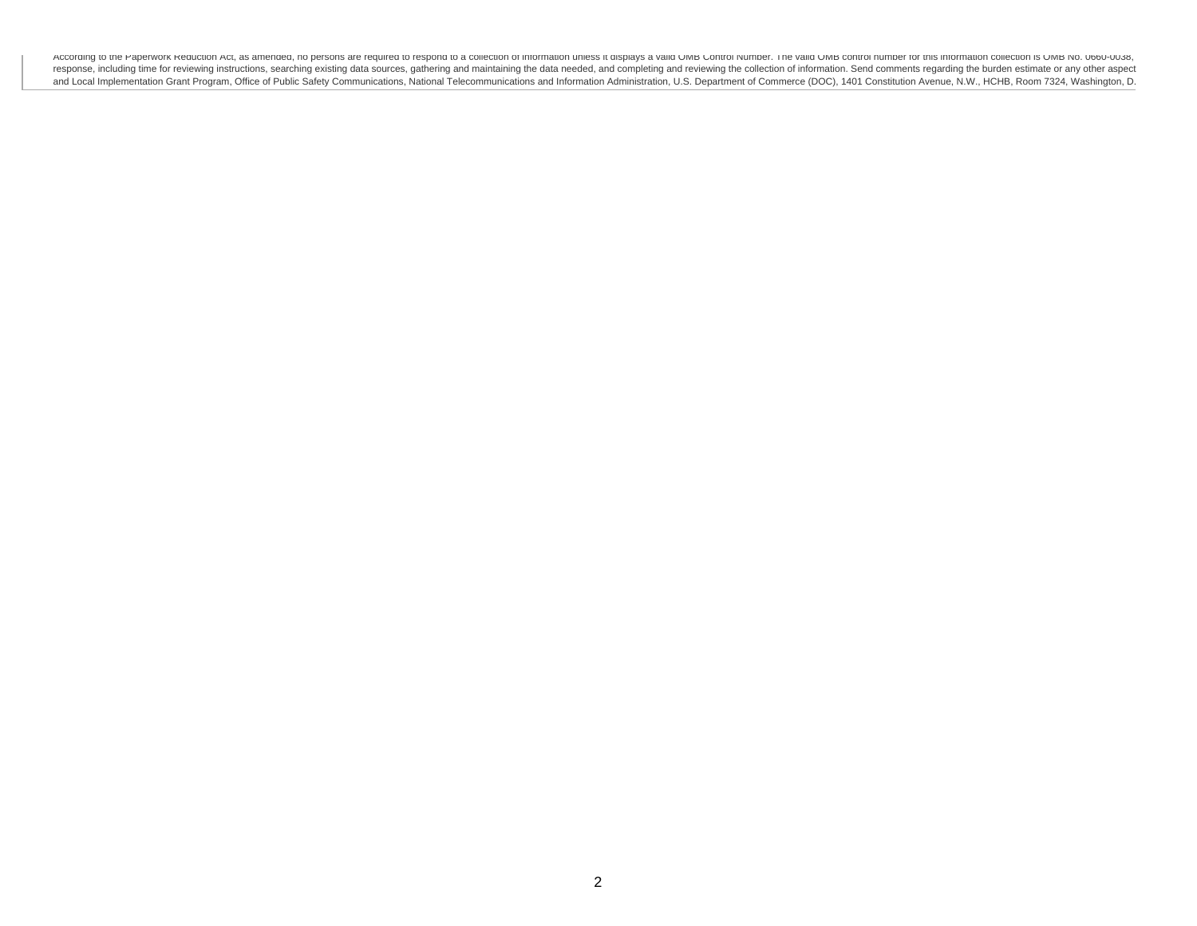Accoraing to the Paperwork Reduction Act, as amended, no persons are required to respond to a collection of information unless it displays a valid UMB CONTOI Number. The valid UMB control number for this information collec response, including time for reviewing instructions, searching existing data sources, gathering and maintaining the data needed, and completing and reviewing the collection of information. Send comments regarding the burde and Local Implementation Grant Program, Office of Public Safety Communications, National Telecommunications and Information Administration, U.S. Department of Commerce (DOC), 1401 Constitution Avenue, N.W., HCHB, Room 7324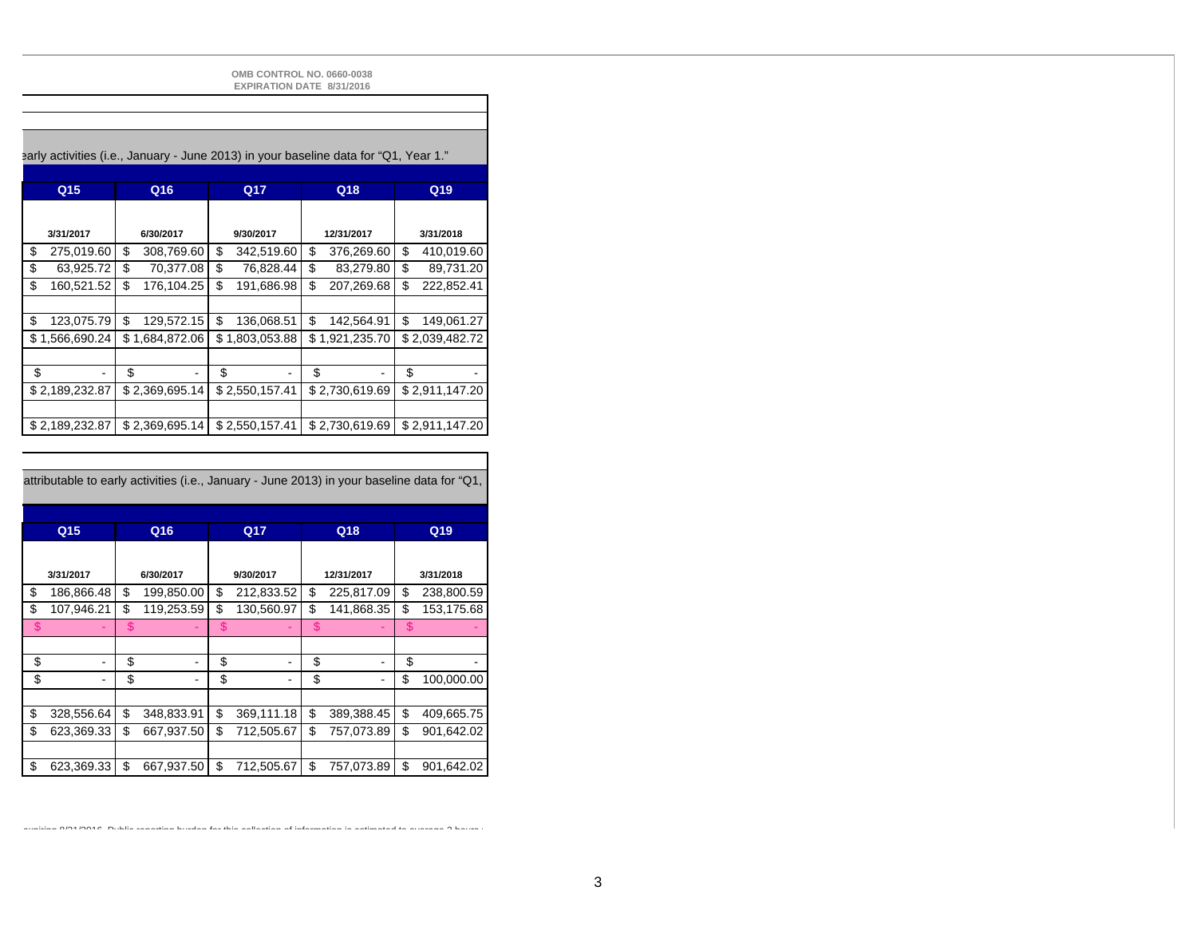**OMB CONTROL NO. 0660-0038 EXPIRATION DATE 8/31/2016**

#### early activities (i.e., January - June 2013) in your baseline data for "Q1, Year 1."

| Q <sub>15</sub>  | Q16              | Q17              | Q18              | Q19              |
|------------------|------------------|------------------|------------------|------------------|
|                  |                  |                  |                  |                  |
| 3/31/2017        | 6/30/2017        | 9/30/2017        | 12/31/2017       | 3/31/2018        |
| \$<br>275,019.60 | \$<br>308,769.60 | \$<br>342,519.60 | \$<br>376,269.60 | \$<br>410,019.60 |
| \$<br>63.925.72  | \$<br>70.377.08  | \$<br>76.828.44  | \$<br>83,279.80  | \$<br>89.731.20  |
| \$<br>160,521.52 | \$<br>176.104.25 | \$<br>191.686.98 | \$<br>207,269.68 | \$<br>222,852.41 |
|                  |                  |                  |                  |                  |
| \$<br>123,075.79 | \$<br>129,572.15 | \$<br>136,068.51 | \$<br>142,564.91 | \$<br>149,061.27 |
| \$1,566,690.24   | \$1,684,872.06   | \$1,803,053.88   | \$1,921,235.70   | \$2,039,482.72   |
|                  |                  |                  |                  |                  |
| \$               | \$               | \$               | \$               | \$               |
| \$2,189,232.87   | \$2,369,695.14   | \$2,550,157.41   | \$2,730,619.69   | \$2,911,147.20   |
|                  |                  |                  |                  |                  |
| \$2,189,232.87   | \$2,369,695.14   | \$2,550,157.41   | \$2,730,619.69   | \$2,911,147.20   |

attributable to early activities (i.e., January - June 2013) in your baseline data for "Q1,

| Q <sub>15</sub>  | Q16              | Q17              | Q18                                | Q19              |
|------------------|------------------|------------------|------------------------------------|------------------|
|                  |                  |                  |                                    |                  |
| 3/31/2017        | 6/30/2017        | 9/30/2017        | 12/31/2017                         | 3/31/2018        |
| \$<br>186,866.48 | \$<br>199,850.00 | \$<br>212,833.52 | \$<br>225,817.09                   | \$<br>238,800.59 |
| \$<br>107,946.21 | \$<br>119,253.59 | \$<br>130,560.97 | \$<br>141,868.35                   | \$<br>153,175.68 |
| \$               | \$               | \$               | \$                                 | \$               |
|                  |                  |                  |                                    |                  |
| \$               | \$<br>۰          | \$               | \$                                 | \$               |
| \$               | \$<br>۰          | \$               | \$<br>$\qquad \qquad \blacksquare$ | \$<br>100,000.00 |
|                  |                  |                  |                                    |                  |
| \$<br>328,556.64 | \$<br>348,833.91 | \$<br>369,111.18 | \$<br>389,388.45                   | \$<br>409,665.75 |
| \$<br>623,369.33 | \$<br>667,937.50 | \$<br>712,505.67 | \$<br>757,073.89                   | \$<br>901,642.02 |
|                  |                  |                  |                                    |                  |
| \$<br>623,369.33 | \$<br>667,937.50 | \$<br>712,505.67 | \$<br>757,073.89                   | \$<br>901,642.02 |

expiring 8/31/2016 Public reporting burden for this collection of information is estimated to average 3 hours p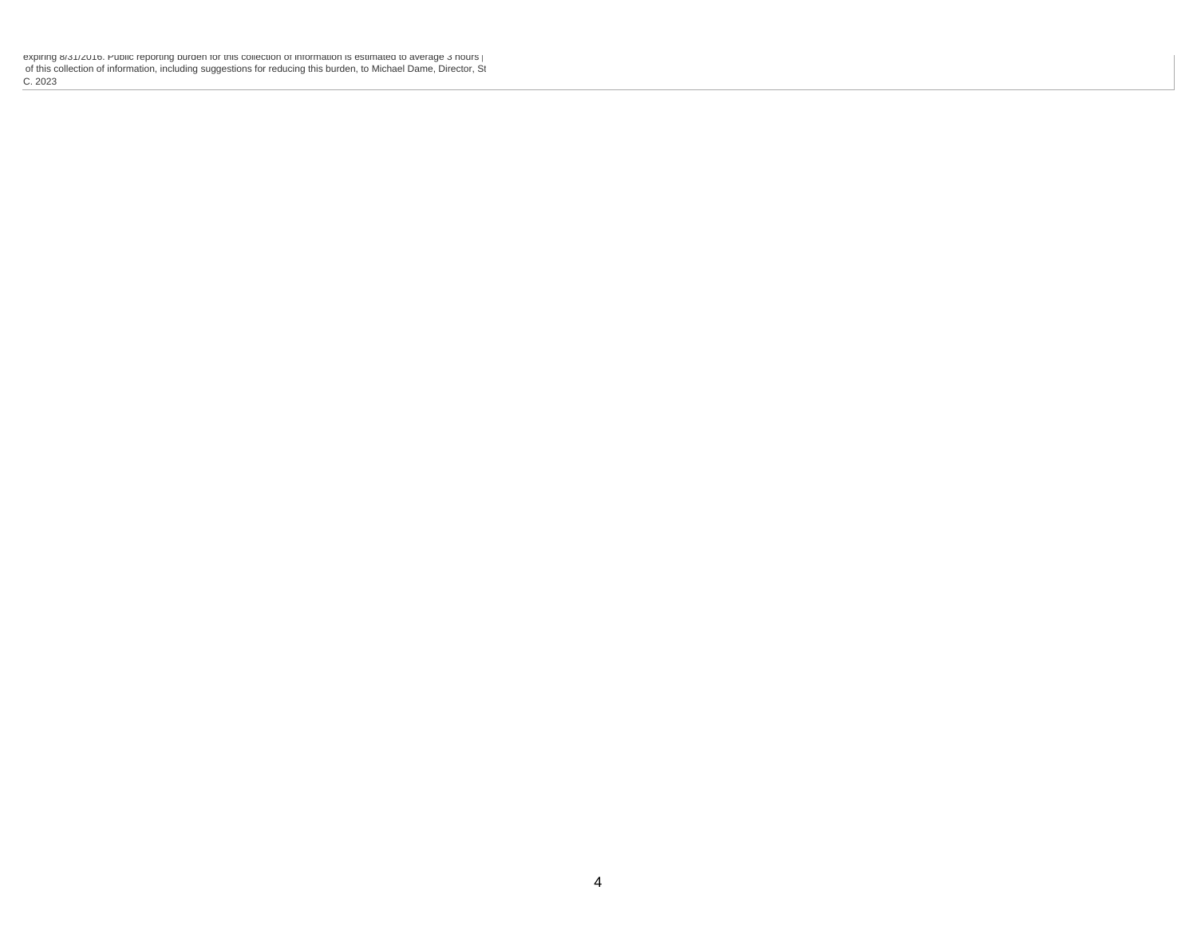expiring 8/31/2016. Public reporting burden for this collection of information is estimated to average 3 hours p of this collection of information, including suggestions for reducing this burden, to Michael Dame, Director, St C. 2023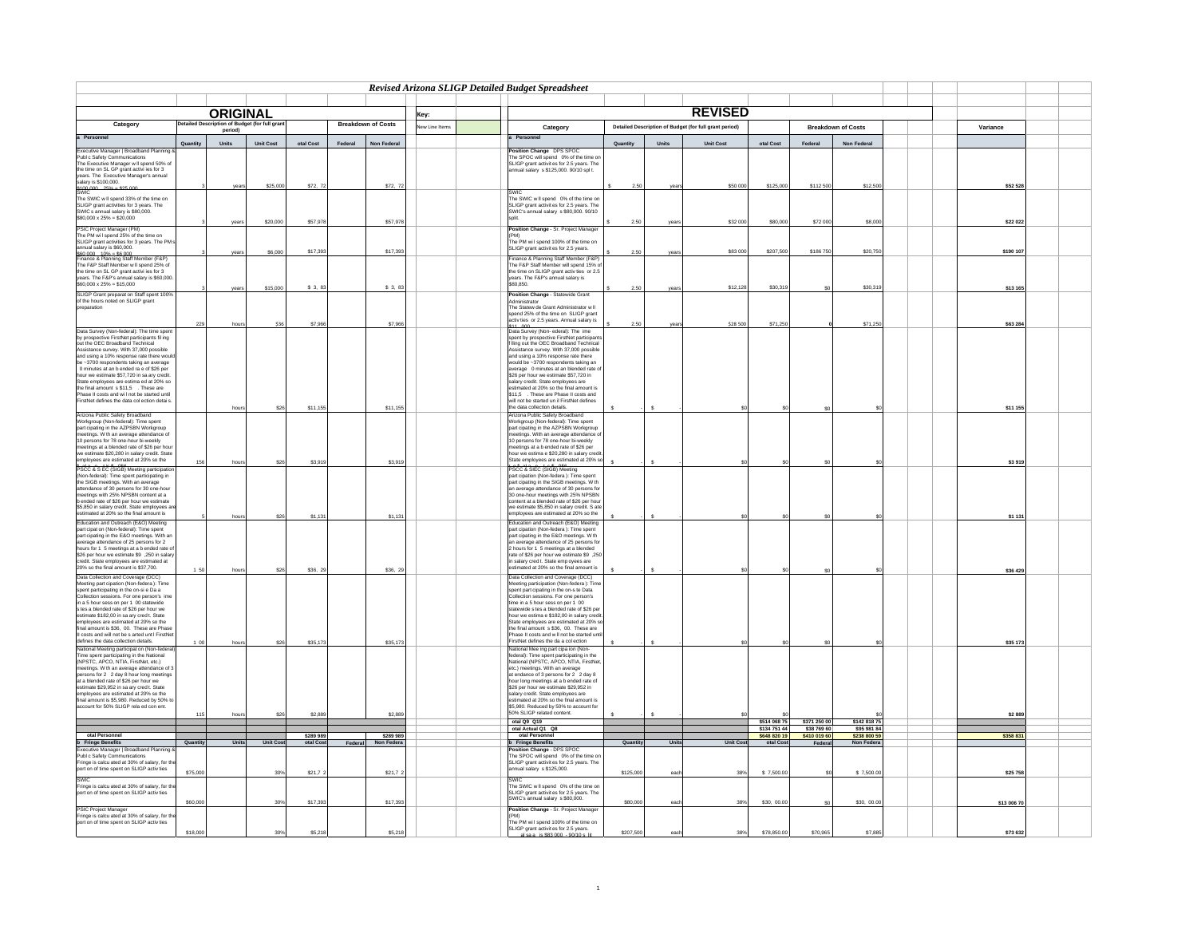|                                                                                                                                                                                                                                                                        |          |                 |                         |                      |         |                               |               | Revised Arizona SLIGP Detailed Budget Spreadsheet                                                                       |           |              |                                                        |                              |                             |                             |            |  |
|------------------------------------------------------------------------------------------------------------------------------------------------------------------------------------------------------------------------------------------------------------------------|----------|-----------------|-------------------------|----------------------|---------|-------------------------------|---------------|-------------------------------------------------------------------------------------------------------------------------|-----------|--------------|--------------------------------------------------------|------------------------------|-----------------------------|-----------------------------|------------|--|
|                                                                                                                                                                                                                                                                        |          |                 |                         |                      |         |                               |               |                                                                                                                         |           |              |                                                        |                              |                             |                             |            |  |
|                                                                                                                                                                                                                                                                        |          | <b>ORIGINAL</b> |                         |                      |         |                               | Key:          |                                                                                                                         |           |              | <b>REVISED</b>                                         |                              |                             |                             |            |  |
| Category                                                                                                                                                                                                                                                               |          | period)         | of Budget (for full gr. |                      |         | <b>Breakdown of Costs</b>     | lew Line Item | Category                                                                                                                |           |              | Detailed Description of Budget (for full grant period) |                              |                             | <b>Breakdown of Costs</b>   | Variance   |  |
| a Personne                                                                                                                                                                                                                                                             | Quantity |                 |                         |                      |         |                               |               | Personnel                                                                                                               |           | Units        |                                                        |                              | Federal                     |                             |            |  |
| cutive Manager   Broadband Plan<br>Executive Manager   Broadband<br>Publ c Safety Communications                                                                                                                                                                       |          | Units           | Unit Cost               | otal $Cost$          | Federal | Non Federal                   |               | osition Change DPS SPOC                                                                                                 | Quantity  |              | Unit Cost                                              | otal Cost                    |                             | Non Federal                 |            |  |
| The Executive Manager w II spend 50% of                                                                                                                                                                                                                                |          |                 |                         |                      |         |                               |               | The SPOC will spend 0% of the time or<br>SLIGP grant activit es for 2.5 years. The                                      |           |              |                                                        |                              |                             |                             |            |  |
| the time on SL GP grant activi les for 3<br>years. The Executive Manager's annual<br>salary is \$100,000.<br>SMIC<br>SMIC contained the state and the state and the state and the state and the state of the state of the state of the stat                            |          |                 |                         |                      |         |                               |               | nnual salary s \$125,000. 90/10 spl t.                                                                                  |           |              |                                                        |                              |                             |                             |            |  |
|                                                                                                                                                                                                                                                                        |          |                 | \$25,000                | \$72, 7              |         | \$72,1                        |               |                                                                                                                         | 2.50      |              | \$50 00                                                | \$125,00                     | \$112 50                    | \$12,50                     | \$52 528   |  |
|                                                                                                                                                                                                                                                                        |          |                 |                         |                      |         |                               |               | :WIC                                                                                                                    |           |              |                                                        |                              |                             |                             |            |  |
| The SWIC w II spend 33% of the time on                                                                                                                                                                                                                                 |          |                 |                         |                      |         |                               |               | The SWIC will spend 0% of the time on<br>SLIGP grant activities for 2.5 years. The                                      |           |              |                                                        |                              |                             |                             |            |  |
| SLIGP grant activities for 3 years. The<br>SWIC s annual salary is \$80,000.<br>\$80,000 x 25% = \$20,000                                                                                                                                                              |          |                 |                         |                      |         |                               |               | SWIC's annual salary s \$80,000. 90/10                                                                                  |           |              |                                                        |                              |                             |                             |            |  |
| PSIC Project Manager (PM)                                                                                                                                                                                                                                              |          | vean            | \$20,000                | \$57,97              |         | \$57,97                       |               | Position Change - Sr. Project Manage                                                                                    | 2.50      | vear         | \$32 00                                                | \$80,000                     | \$72.00                     | \$8,000                     | \$22 022   |  |
| PSIC Project manager (PM)<br>The PM will spend 25% of the time on<br>SLIGP grant activities for 3 years. The PM                                                                                                                                                        |          |                 |                         |                      |         |                               |               | PM)<br>The PM will spend 100% of the time on                                                                            |           |              |                                                        |                              |                             |                             |            |  |
|                                                                                                                                                                                                                                                                        |          | year            | \$6,000                 | \$17,39              |         | \$17,39                       |               | SLIGP grant activit es for 2.5 years.                                                                                   | 2.50      | year         | \$83 00                                                | \$207,500                    | \$186 75                    | \$20,75                     | \$190 107  |  |
| annual salary is \$60,000.<br>Seo ono  10% = \$6,000.<br>Finance & Planning Staff Member (F&P)<br>The F&P Staff Member w II spend 25% of                                                                                                                               |          |                 |                         |                      |         |                               |               | Finance & Planning Staff Member (F&P)<br>The F&P Staff Member will spend 15% o                                          |           |              |                                                        |                              |                             |                             |            |  |
|                                                                                                                                                                                                                                                                        |          |                 |                         |                      |         |                               |               | the time on SLIGP grant activities or 2.5                                                                               |           |              |                                                        |                              |                             |                             |            |  |
| the time on SL GP grant activi les for 3<br>years. The F&P's annual salary is \$60,000<br>\$60,000 x 25% = \$15,000                                                                                                                                                    |          |                 |                         |                      |         |                               |               | ears. The F&P's annual salary is<br>GRO 850                                                                             |           |              |                                                        |                              |                             |                             |            |  |
| SLIGP Grant preparat on Staff spent 1009                                                                                                                                                                                                                               |          | vears           | \$15,000                | \$3,8                |         | \$3,1                         |               | Position Change - Statewide Grant                                                                                       | 2.50      | vear         | \$12,128                                               | \$30,319                     | so.                         | \$30,31                     | \$13 165   |  |
| of the hours noted on SLIGP grant<br>preparation                                                                                                                                                                                                                       |          |                 |                         |                      |         |                               |               | dministrator<br>The Statew de Grant Administrator w II                                                                  |           |              |                                                        |                              |                             |                             |            |  |
|                                                                                                                                                                                                                                                                        |          |                 |                         |                      |         |                               |               | spend 25% of the time on SLIGP grant                                                                                    |           |              |                                                        |                              |                             |                             |            |  |
| Data Survey (Non-federal): The time spen                                                                                                                                                                                                                               | 229      | hour            | \$36                    | \$7.96               |         | \$7.96                        |               | ctiv ties or 2.5 years. Annual salary is<br>11 000<br>)ata Survey (Non-ederal): The ime                                 | 2.50      | vea          | \$28,500                                               | \$71,25                      |                             | \$71,25                     | \$63 284   |  |
| by prospective FirstNet participants fil ing                                                                                                                                                                                                                           |          |                 |                         |                      |         |                               |               | pent by prospective FirstNet participant                                                                                |           |              |                                                        |                              |                             |                             |            |  |
| out the OEC Broadband Technical<br>Assistance survey. With 37,000 possible                                                                                                                                                                                             |          |                 |                         |                      |         |                               |               | Iling out the OEC Broadband Technical<br>Assistance survey. With 37,000 possible<br>and using a 10% response rate there |           |              |                                                        |                              |                             |                             |            |  |
| and using a 10% response rate there woul<br>be ~3700 respondents taking an average                                                                                                                                                                                     |          |                 |                         |                      |         |                               |               | vould be ~3700 respondents taking an                                                                                    |           |              |                                                        |                              |                             |                             |            |  |
| 0 minutes at an b ended ra e of \$26 per                                                                                                                                                                                                                               |          |                 |                         |                      |         |                               |               | average 0 minutes at an blended rate o                                                                                  |           |              |                                                        |                              |                             |                             |            |  |
| o minutes at an to enough start and a conservation of the final amount State employees are estima ed at 20% so<br>State employees are estima ed at 20% so<br>the final amount s \$11,5 . These are<br>Phase II costs and will not be sta                               |          |                 |                         |                      |         |                               |               | \$26 per hour we estimate \$57,720 in<br>salary credit. State employees are                                             |           |              |                                                        |                              |                             |                             |            |  |
|                                                                                                                                                                                                                                                                        |          |                 |                         |                      |         |                               |               | stimated at 20% so the final amount is<br>\$11.5 . These are Phase II costs and                                         |           |              |                                                        |                              |                             |                             |            |  |
|                                                                                                                                                                                                                                                                        |          | hour            | \$26                    |                      |         |                               |               | will not be started un il FirstNet defines<br>he data collection details.                                               |           | s            |                                                        |                              |                             |                             |            |  |
| Arizona Public Safety Broadband<br>Workgroup (Non-federal): Time spent                                                                                                                                                                                                 |          |                 |                         | \$11,15              |         | \$11,15                       |               | Arizona Public Safety Broadband                                                                                         |           |              |                                                        |                              |                             |                             | \$11 155   |  |
|                                                                                                                                                                                                                                                                        |          |                 |                         |                      |         |                               |               | Vorkgroup (Non-federal): Time spent<br>part cipating in the AZPSBN Workgroup                                            |           |              |                                                        |                              |                             |                             |            |  |
| part cipating in the AZPSBN Workgroup<br>meetings. W th an average attendance of<br>10 persons for 78 one-hour bi-weekly                                                                                                                                               |          |                 |                         |                      |         |                               |               | eetings. With an average attendance o<br>10 nersons for 78 one-hour hi-weekly                                           |           |              |                                                        |                              |                             |                             |            |  |
|                                                                                                                                                                                                                                                                        |          |                 |                         |                      |         |                               |               | eetings at a b ended rate of \$26 per                                                                                   |           |              |                                                        |                              |                             |                             |            |  |
|                                                                                                                                                                                                                                                                        | 156      | houn            | \$26                    | \$3,91               |         | \$3,91                        |               | our we estima e \$20,280 in salary<br>State employees are estimated at 20% so                                           |           | $\mathbf{s}$ |                                                        |                              | \$n                         |                             | \$3 919    |  |
| Tu persons for 76 one-nour pi-weavy<br>meetings at a blended rate of \$26 per hours<br>we estimate \$20,280 in salary credit. State<br>employees are estimated at 20% so the<br>$\frac{\mu_0 - \mu_0}{2}$ is $\frac{\mu_0 - \mu_0}{2}$ is $\frac{\mu_0 - \mu_0}{2}$ is |          |                 |                         |                      |         |                               |               | PSCC & SIEC (SIGB) Meeting                                                                                              |           |              |                                                        |                              |                             |                             |            |  |
|                                                                                                                                                                                                                                                                        |          |                 |                         |                      |         |                               |               | part cipation (Non-federa): Time spent<br>part cipating in the SIGB meetings. W th                                      |           |              |                                                        |                              |                             |                             |            |  |
| attendance of 30 persons for 30 one-hou<br>meetings with 25% NPSBN content at a                                                                                                                                                                                        |          |                 |                         |                      |         |                               |               | an average attendance of 30 persons fo<br>30 one-hour meetings with 25% NPSBN                                           |           |              |                                                        |                              |                             |                             |            |  |
| bended rate of \$26 per hour we estimate<br>\$5,850 in salary credit. State employees a                                                                                                                                                                                |          |                 |                         |                      |         |                               |               | content at a blended rate of \$26 per hour<br>we estimate \$5,850 in salary credit. S ate                               |           |              |                                                        |                              |                             |                             |            |  |
| estimated at 20% so the final amount is                                                                                                                                                                                                                                |          | hour            | \$26                    | \$1,13               |         | \$1.13                        |               | mployees are estimated at 20% so the                                                                                    |           | $\mathbf{s}$ |                                                        |                              |                             |                             | \$1 13     |  |
| Education and Outreach (E&O) Meeting                                                                                                                                                                                                                                   |          |                 |                         |                      |         |                               |               | ducation and Outreach (E&O) Meeting                                                                                     |           |              |                                                        |                              |                             |                             |            |  |
| eucation and Outreach (E&O) Meeting<br>part cipation (Non-federal): Time spent<br>part cipating in the E&O meetings. With an<br>awerage attendance of 25 persons for 2<br>hours for 1 5 meetings at a b ended rate of<br>\$26 per hour we esti                         |          |                 |                         |                      |         |                               |               | art cipation (Non-federa): Time spent<br>part cipating in the E&O meetings. W th                                        |           |              |                                                        |                              |                             |                             |            |  |
|                                                                                                                                                                                                                                                                        |          |                 |                         |                      |         |                               |               | n average attendance of 25 persons fo<br>2 hours for 1 5 meetings at a blended                                          |           |              |                                                        |                              |                             |                             |            |  |
|                                                                                                                                                                                                                                                                        |          |                 |                         |                      |         |                               |               | ate of \$26 per hour we estimate \$9 ,250<br>n salary cred t. State emp ovees are                                       |           |              |                                                        |                              |                             |                             |            |  |
| credit. State employees are estimated at<br>20% so the final amount is \$37,700.                                                                                                                                                                                       | 150      | hour            | \$2                     | \$36, 2              |         | \$36.                         |               | timated at 20% so the final amount is                                                                                   |           | s            |                                                        |                              |                             |                             | \$36 429   |  |
| Data Collection and Coverage (DCC)<br>Meeting part cipation (Non-federa): Time                                                                                                                                                                                         |          |                 |                         |                      |         |                               |               | Data Collection and Coverage (DCC)<br>leeting participation (Non-federa): Tim                                           |           |              |                                                        |                              |                             |                             |            |  |
| spent participation (won-redeta). Time<br>spent participating in the on-si e Da a<br>Collection sessions. For one person's im-                                                                                                                                         |          |                 |                         |                      |         |                               |               | bent part cipating in the on-s te Data<br>Collection sessions. For one person's                                         |           |              |                                                        |                              |                             |                             |            |  |
| in a 5 hour sess on per 1 00 statewide                                                                                                                                                                                                                                 |          |                 |                         |                      |         |                               |               | ime in a 5 hour sess on per 1 00                                                                                        |           |              |                                                        |                              |                             |                             |            |  |
| s tes a blended rate of \$26 per hour we<br>estimate \$182,00 in sa ary cred t. State                                                                                                                                                                                  |          |                 |                         |                      |         |                               |               | statewide s tes a blended rate of \$26 pe<br>our we estima e \$182,00 in salary credi                                   |           |              |                                                        |                              |                             |                             |            |  |
| employees are estimated at 20% so the<br>final amount is \$36, 00. These are Pha                                                                                                                                                                                       |          |                 |                         |                      |         |                               |               | State employees are estimated at 20% so<br>the final amount s \$36, 00. These are                                       |           |              |                                                        |                              |                             |                             |            |  |
| Il costs and will not be s arted unt I FirstNe<br>Il costs and will not be s arted unt I FirstNe<br>defines the data collection details.<br>National Meeting participat on (Non-federa                                                                                 |          |                 |                         |                      |         |                               |               | Phase II costs and w II not be started unt<br>irstNet defines the da a col ection                                       |           |              |                                                        |                              |                             |                             |            |  |
|                                                                                                                                                                                                                                                                        | 1.00     | houn            | \$26                    | \$35.17              |         | \$35.17                       |               | lational Mee ing part cipa ion (Non-                                                                                    |           | s            |                                                        |                              |                             |                             | \$35 173   |  |
| Time spent participating in the National<br>(NPSTC, APCO, NTIA, FirstNet, etc.)                                                                                                                                                                                        |          |                 |                         |                      |         |                               |               | Federal): Time spent participating in the<br>National (NPSTC, APCO, NTIA, FirstNe                                       |           |              |                                                        |                              |                             |                             |            |  |
| etings. W th an average attendance of :                                                                                                                                                                                                                                |          |                 |                         |                      |         |                               |               | etc.) meetings. With an average<br>at endance of 3 persons for 2 2 day 8                                                |           |              |                                                        |                              |                             |                             |            |  |
| persons for 2 2 day 8 hour long meeting<br>at a blended rate of \$26 per hour we                                                                                                                                                                                       |          |                 |                         |                      |         |                               |               | our long meetings at a b ended rate of                                                                                  |           |              |                                                        |                              |                             |                             |            |  |
|                                                                                                                                                                                                                                                                        |          |                 |                         |                      |         |                               |               | \$26 per hour we estimate \$29,952 in<br>salary credit. State employees are                                             |           |              |                                                        |                              |                             |                             |            |  |
| at uncertainties \$29,952 in sa ary cred t. State<br>employees are estimated at 20% so the<br>final amount is \$5,980. Reduced by 50% to<br>account for 50% SLIGP rela ed con ent.                                                                                     |          |                 |                         |                      |         |                               |               | stimated at 20% so the final amount is<br>\$5,980. Reduced by 50% to account for                                        |           |              |                                                        |                              |                             |                             |            |  |
|                                                                                                                                                                                                                                                                        | 115      | houn            | \$26                    | \$2,88               |         | \$2,88                        |               | 50% SLIGP related content.                                                                                              |           |              |                                                        |                              |                             |                             | \$2 889    |  |
|                                                                                                                                                                                                                                                                        |          |                 |                         |                      |         |                               |               | otal Q9 Q19<br>otal Actual Q1 Q8                                                                                        |           |              |                                                        | \$514 068 75<br>\$134 751 44 | \$371 250 00<br>\$38 769 60 | \$142 818 75<br>\$95 981 84 |            |  |
| otal Personnel                                                                                                                                                                                                                                                         | Quantity | Units           | <b>Unit Cos</b>         | \$289.989<br>otal Co |         | \$289.98<br>Federal Non Feder |               | otal Personnel<br><b>b</b> Fringe Benefits                                                                              | Quantity  | Units        | Unit Cor                                               | \$648,820.19<br>otal Co      | \$410,019.60<br>Federa      | \$238,800.5<br>Non Federa   | \$358 831  |  |
| <b>b</b><br><b>b</b> Fringe Benefits<br>Executive Manager   Broadband Planning &<br>Publ c Safety Communications                                                                                                                                                       |          |                 |                         |                      |         |                               |               | osition Change - DPS SPOC                                                                                               |           |              |                                                        |                              |                             |                             |            |  |
| Fringe is calcu ated at 30% of salary, for th                                                                                                                                                                                                                          |          |                 |                         |                      |         |                               |               | The SPOC will spend 0% of the time o<br>SLIGP grant activit es for 2.5 years. The                                       |           |              |                                                        |                              |                             |                             |            |  |
| port on of time spent on SLIGP activ ties                                                                                                                                                                                                                              | \$75,00  |                 | 30%                     | \$21,7               |         | \$21,7                        |               | nnual salary s \$125,000.                                                                                               | \$125,000 | eac          | 38%                                                    | \$7,500.00                   | \$0                         | \$7,500.0                   | \$25 758   |  |
| <b>SWIC</b>                                                                                                                                                                                                                                                            |          |                 |                         |                      |         |                               |               | The SWIC will spend 0% of the time or                                                                                   |           |              |                                                        |                              |                             |                             |            |  |
| Fringe is calcu ated at 30% of salary, for th<br>port on of time spent on SLIGP activ ties                                                                                                                                                                             |          |                 |                         |                      |         |                               |               | SLIGP grant activit es for 2.5 years. The<br>SWIC's annual salary s \$80,000.                                           |           |              |                                                        |                              |                             |                             |            |  |
| <b>PSIC Project Manage</b>                                                                                                                                                                                                                                             | \$60,00  |                 | 30%                     | \$17,39              |         | \$17,39                       |               | Position Change - Sr. Project Manage                                                                                    | \$80,00   |              | 38%                                                    | \$30, 00.00                  | \$O                         | \$30, 00.0                  | \$13 006 7 |  |
| Fringe is calcu ated at 30% of salary, for th<br>port on of time spent on SLIGP activ ties                                                                                                                                                                             |          |                 |                         |                      |         |                               |               | PM)<br>The PM will spend 100% of the time on                                                                            |           |              |                                                        |                              |                             |                             |            |  |
|                                                                                                                                                                                                                                                                        | \$18,00  |                 | 30%                     | \$5,21               |         | \$5,218                       |               | SLIGP grant activities for 2.5 years.<br>$Also = 883,000 - 90/10$ s                                                     | \$207,500 |              | 38%                                                    | \$78,850.00                  | \$70.965                    | \$7,885                     | \$73 632   |  |
|                                                                                                                                                                                                                                                                        |          |                 |                         |                      |         |                               |               |                                                                                                                         |           |              |                                                        |                              |                             |                             |            |  |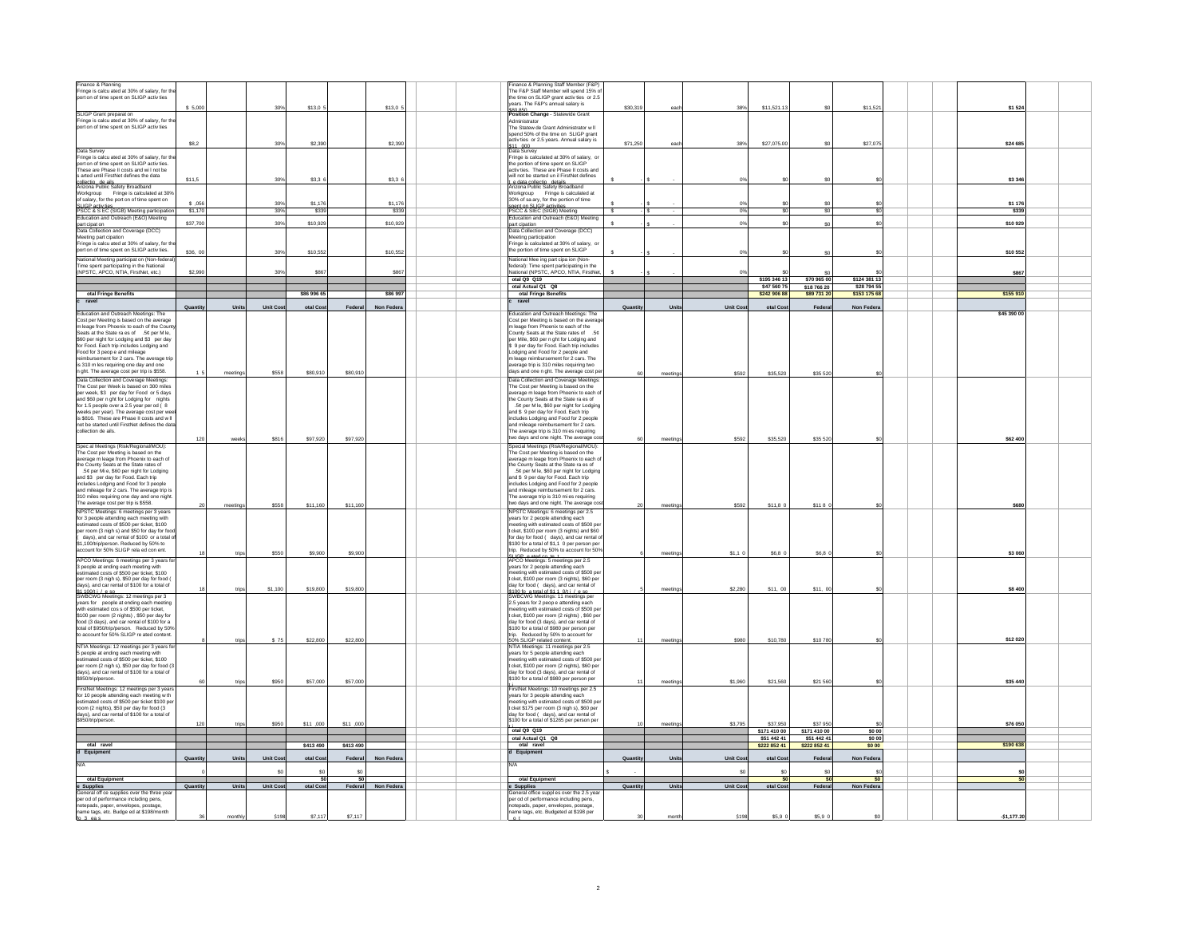| Finance & Planning<br>Fringe is calcu ated at 30% of salary, for the                                        |                 |            |                 |             |           |           |  | Finance & Planning Staff Member (F&P)<br>The F&P Staff Member will spend 15% of       |                         |          |                 |                             |                             |                   |                 |  |
|-------------------------------------------------------------------------------------------------------------|-----------------|------------|-----------------|-------------|-----------|-----------|--|---------------------------------------------------------------------------------------|-------------------------|----------|-----------------|-----------------------------|-----------------------------|-------------------|-----------------|--|
| port on of time spent on SLIGP activ ties                                                                   |                 |            |                 |             |           |           |  | he time on SLIGP grant activ ties or 2.5                                              |                         |          |                 |                             |                             |                   |                 |  |
|                                                                                                             | \$5,000         |            | 309             | \$13,0      |           | \$13,0    |  | ears. The F&P's annual salary is                                                      | \$30,319                | eac      | 38%             | \$11,521.1                  | \$0                         | \$11,52           | \$1 524         |  |
| SLIGP Grant preparat on                                                                                     |                 |            |                 |             |           |           |  | sen aso.<br>Position Change - Statewide Grant                                         |                         |          |                 |                             |                             |                   |                 |  |
| Fringe is calcu ated at 30% of salary, for th                                                               |                 |            |                 |             |           |           |  | Administrator                                                                         |                         |          |                 |                             |                             |                   |                 |  |
| port on of time spent on SLIGP activ ties                                                                   |                 |            |                 |             |           |           |  | The Statew de Grant Administrator w II                                                |                         |          |                 |                             |                             |                   |                 |  |
|                                                                                                             |                 |            |                 |             |           |           |  | spend 50% of the time on SLIGP grant<br>activ ties or 2.5 years. Annual salary is     |                         |          |                 |                             |                             |                   |                 |  |
|                                                                                                             | SR <sub>2</sub> |            | 30%             | \$2,39      |           | \$2.39    |  |                                                                                       | \$71,250                | eac      | 38%             | \$27,075.0                  | so.                         | \$27,07           | \$24 685        |  |
| Data Survey                                                                                                 |                 |            |                 |             |           |           |  | :11, non.<br>)ata Survey                                                              |                         |          |                 |                             |                             |                   |                 |  |
| Fringe is calcu ated at 30% of salary, for th<br>port on of time spent on SLIGP activities.                 |                 |            |                 |             |           |           |  | ringe is calculated at 30% of salary, or<br>the nortion of time spent on SLIGP        |                         |          |                 |                             |                             |                   |                 |  |
| These are Phase II costs and will not be                                                                    |                 |            |                 |             |           |           |  | activ ties. These are Phase II costs and                                              |                         |          |                 |                             |                             |                   |                 |  |
| s arted until FirstNet defines the data                                                                     | \$11,5          |            | 30%             | \$3,3       |           | \$3,3     |  | will not he started un il FirstNet defines                                            |                         |          |                 |                             |                             |                   | \$3 346         |  |
| Arizona Public Safety Broadband                                                                             |                 |            |                 |             |           |           |  | rizona Public Safety Broadband                                                        |                         |          |                 |                             |                             |                   |                 |  |
| Workaroup<br>Fringe is calculated at 30%                                                                    |                 |            |                 |             |           |           |  | Workgroup Fringe is calculated at                                                     |                         |          |                 |                             |                             |                   |                 |  |
| salary, for the port on of time spent on                                                                    | 05              |            | 30              | \$1.17      |           | \$1,176   |  | 30% of sa ary, for the portion of time                                                |                         |          |                 |                             | \$0                         |                   | \$1 176         |  |
| SLIGP activ ties<br>PSCC & S EC (SIGB) Meeting participation                                                | \$1170          |            | 30%             | \$339       |           | \$339     |  | spent on SLIGP activities<br>PSCC & SIEC (SIGB) Meeting                               | $\overline{\mathbf{s}}$ |          | 2               |                             | ŝ                           |                   | \$339           |  |
| Education and Outreach (E&O) Meeting                                                                        |                 |            |                 |             |           |           |  | ducation and Outreach (E&O) Meeting                                                   |                         |          |                 |                             |                             |                   |                 |  |
| part cipat on                                                                                               | \$37,700        |            | 30%             | \$10,92     |           | \$10,929  |  | part cipation                                                                         |                         |          | 0 <sup>9</sup>  |                             | \$0                         |                   | \$10 929        |  |
| Data Collection and Coverage (DCC)                                                                          |                 |            |                 |             |           |           |  | Data Collection and Coverage (DCC)                                                    |                         |          |                 |                             |                             |                   |                 |  |
| Meeting part cipation<br>Fringe is calcu ated at 30% of salary, for th                                      |                 |            |                 |             |           |           |  | Meeting participation<br>ringe is calculated at 30% of salary, or                     |                         |          |                 |                             |                             |                   |                 |  |
| port on of time spent on SLIGP activ ties.                                                                  | \$36.0          |            | 30%             | \$10,55     |           | \$10.55   |  | the portion of time spent on SLIGP                                                    |                         |          |                 |                             | \$0                         |                   | \$10 552        |  |
| National Meeting participat on (Non-feder                                                                   |                 |            |                 |             |           |           |  | Vational Mee ing part cipa ion (Non-                                                  |                         |          |                 |                             |                             |                   |                 |  |
| Time spent participating in the National                                                                    |                 |            |                 |             |           |           |  | ederal): Time spent participating in the                                              |                         |          |                 |                             |                             |                   |                 |  |
| (NPSTC, APCO, NTIA, FirstNet, etc.)                                                                         | \$2,990         |            | 30%             | S86         |           | \$86      |  | Vational (NPSTC, APCO, NTIA, FirstNe                                                  |                         |          |                 |                             | \$0                         |                   | \$867           |  |
|                                                                                                             |                 |            |                 |             |           |           |  | otal Q9 Q19                                                                           |                         |          |                 | \$195 346 13                | \$70 965 00                 | \$124 381 13      |                 |  |
|                                                                                                             |                 |            |                 |             |           |           |  | otal Actual Q1 Q8                                                                     |                         |          |                 | \$47 560 7                  | \$18 766 20                 | \$28 794 5        |                 |  |
| otal Fringe Benefits<br>ravel                                                                               |                 |            |                 | \$86 996 65 |           | \$86 997  |  | otal Fringe Benefits<br>ravel                                                         |                         |          |                 | \$242 906 8                 | \$89 731 20                 | \$153 175 68      | \$155 910       |  |
|                                                                                                             | Quantit         | Uni        | Unit Cor        | otal Cos    | Federa    | Non Feder |  |                                                                                       | Quantit                 | Unit     | <b>Unit Cos</b> | otal Cos                    | Federa                      | Non Feder         |                 |  |
| Education and Outreach Meetings: The                                                                        |                 |            |                 |             |           |           |  | ducation and Outreach Meetings: The                                                   |                         |          |                 |                             |                             |                   | \$45 390 00     |  |
| Cost per Meeting is based on the average                                                                    |                 |            |                 |             |           |           |  | Cost per Meeting is based on the avera                                                |                         |          |                 |                             |                             |                   |                 |  |
| m leage from Phoenix to each of the Cour                                                                    |                 |            |                 |             |           |           |  | m leage from Phoenix to each of the                                                   |                         |          |                 |                             |                             |                   |                 |  |
| eats at the State ra es of .5¢ per M le,<br>\$60 per night for Lodging and \$3 per day                      |                 |            |                 |             |           |           |  | County Seats at the State rates of<br>per Mile, \$60 per n ght for Lodging and        |                         |          |                 |                             |                             |                   |                 |  |
| for Food. Each trip includes Lodging and                                                                    |                 |            |                 |             |           |           |  | 9 per day for Food. Each trip includes                                                |                         |          |                 |                             |                             |                   |                 |  |
| Food for 3 peop e and mileage                                                                               |                 |            |                 |             |           |           |  | odging and Food for 2 people and                                                      |                         |          |                 |                             |                             |                   |                 |  |
| reimbursement for 2 cars. The average trip                                                                  |                 |            |                 |             |           |           |  | n leage reimbursement for 2 cars. The                                                 |                         |          |                 |                             |                             |                   |                 |  |
| is 310 m les requiring one day and o<br>n ght. The average cost per trip is \$558.                          |                 |            |                 |             |           |           |  | verage trip is 310 miles requiring two<br>lavs and one n ght. The average cost pe     |                         |          |                 |                             |                             |                   |                 |  |
|                                                                                                             |                 | meetings   | \$558           | \$80,910    | \$80,910  |           |  | Data Collection and Coverage Meetings                                                 | 60                      | meeting  | \$592           | \$35,520                    | \$35 520                    |                   |                 |  |
| Data Collection and Coverage Meetings<br>The Cost per Week is based on 300 miles                            |                 |            |                 |             |           |           |  | The Cost ner Meeting is hased on the                                                  |                         |          |                 |                             |                             |                   |                 |  |
| per week, \$3 per day for Food or 5 days<br>and \$60 per night for Lodging for nights                       |                 |            |                 |             |           |           |  | sverage m leage from Phoenix to each o                                                |                         |          |                 |                             |                             |                   |                 |  |
|                                                                                                             |                 |            |                 |             |           |           |  | he County Seats at the State raies of                                                 |                         |          |                 |                             |                             |                   |                 |  |
| for 1.5 people over a 2.5 year per od $\bar{()}$ 8                                                          |                 |            |                 |             |           |           |  | .5¢ per M le, \$60 per night for Lodging                                              |                         |          |                 |                             |                             |                   |                 |  |
| eeks per year). The average cost per w<br>is \$816. These are Phase II costs and will                       |                 |            |                 |             |           |           |  | and \$9 per day for Food. Each trip<br>includes Lodging and Food for 2 people         |                         |          |                 |                             |                             |                   |                 |  |
| not be started until FirstNet defines the dat                                                               |                 |            |                 |             |           |           |  | and mileage reimbursement for 2 cars.                                                 |                         |          |                 |                             |                             |                   |                 |  |
| collection de ails.                                                                                         |                 |            |                 |             |           |           |  | The average trip is 310 mi es requiring                                               |                         |          |                 |                             |                             |                   |                 |  |
|                                                                                                             | 12              |            | \$816           | \$97,920    | \$97,920  |           |  | wo days and one night. The average or                                                 |                         | meetings | \$592           | \$35,520                    | \$35 520                    |                   | \$62 400        |  |
| Spec al Meetings (Risk/Regional/MOU)                                                                        |                 |            |                 |             |           |           |  | Special Meetings (Risk/Regional/MOU)                                                  |                         |          |                 |                             |                             |                   |                 |  |
| The Cost per Meeting is based on the                                                                        |                 |            |                 |             |           |           |  | he Cost per Meeting is based on the                                                   |                         |          |                 |                             |                             |                   |                 |  |
| rerage m leage from Phoenix to each of<br>the County Seats at the State rates of                            |                 |            |                 |             |           |           |  | verage m leage from Phoenix to each<br>he County Seats at the State ra es of          |                         |          |                 |                             |                             |                   |                 |  |
| 5¢ per Mi e, \$60 per night for Lodging                                                                     |                 |            |                 |             |           |           |  | .5¢ per M le, \$60 per night for Lodging                                              |                         |          |                 |                             |                             |                   |                 |  |
| and \$3 per day for Food. Each trip                                                                         |                 |            |                 |             |           |           |  | and \$9 per day for Food. Each trip                                                   |                         |          |                 |                             |                             |                   |                 |  |
| includes Lodging and Food for 3 people                                                                      |                 |            |                 |             |           |           |  | ncludes Lodging and Food for 2 people                                                 |                         |          |                 |                             |                             |                   |                 |  |
| and mileage for 2 cars. The average trip is                                                                 |                 |            |                 |             |           |           |  | and mileage reimbursement for 2 cars                                                  |                         |          |                 |                             |                             |                   |                 |  |
| 310 miles requiring one day and one night                                                                   |                 |            |                 |             |           |           |  | The average trip is 310 mi es requiring<br>wo days and one night. The average o       |                         |          |                 |                             |                             |                   |                 |  |
| The average cost per trip is \$558.                                                                         |                 | meeting    | \$558           | \$11,160    | \$11,160  |           |  |                                                                                       |                         | meeting  | \$592           | \$11,80                     | \$1180                      |                   | \$680           |  |
| NPSTC Meetings: 6 meetings per 3 years<br>for 3 people attending each mee                                   |                 |            |                 |             |           |           |  | NPSTC Meetings: 6 meetings per 2.5<br>ears for 2 people attending each                |                         |          |                 |                             |                             |                   |                 |  |
| estimated costs of \$500 per ticket. \$100                                                                  |                 |            |                 |             |           |           |  | neeting with estimated costs of \$500 pe                                              |                         |          |                 |                             |                             |                   |                 |  |
| per room (3 nigh s) and \$50 for day for fo                                                                 |                 |            |                 |             |           |           |  | cket, \$100 per room (3 nights) and \$60                                              |                         |          |                 |                             |                             |                   |                 |  |
| days), and car rental of \$100 or a total                                                                   |                 |            |                 |             |           |           |  | for day for food ( days), and car rental o                                            |                         |          |                 |                             |                             |                   |                 |  |
| \$1,100/trip/person. Reduced by 50% to<br>count for 50% SLIGP rela ed con ent.                              |                 |            |                 |             |           |           |  | \$100 for a total of \$1,1 0 per person per                                           |                         |          |                 |                             |                             |                   |                 |  |
|                                                                                                             |                 | trip       | \$550           | \$9,900     | \$9,900   |           |  | rip. Reduced by 50% to account for 50%                                                |                         | meeting  | \$1,10          | \$6,8 0                     | \$6,8 0                     |                   | \$3 060         |  |
| APCO Meetings: 6 meetings per 3 years f                                                                     |                 |            |                 |             |           |           |  | RLICB coted on to the depth of 2.5                                                    |                         |          |                 |                             |                             |                   |                 |  |
| 3 people at ending each meeting with<br>mated costs of \$500 per ticket, \$100                              |                 |            |                 |             |           |           |  | ears for 2 people attending each<br>eeting with estimated costs of \$500 pe           |                         |          |                 |                             |                             |                   |                 |  |
| per room (3 nigh s), \$50 per day for food (                                                                |                 |            |                 |             |           |           |  | t cket. \$100 per room (3 nights). \$60 per                                           |                         |          |                 |                             |                             |                   |                 |  |
| days), and car rental of \$100 for a total of                                                               |                 |            | \$1,100         | \$19,800    | \$19,800  |           |  | day for food ( days), and car rental of                                               |                         |          | \$2,280         |                             | \$11,00                     |                   | \$8,400         |  |
| \$1.100/t i / e so<br>SWBCWG Meetings: 12 meetings per 3                                                    |                 | trip       |                 |             |           |           |  | 100 fo. a total of \$1.1, 0/t i / e.so.<br>WBCWG Meetings: 11 meetings per            |                         | meeting  |                 | \$11,00                     |                             |                   |                 |  |
| ears for people at ending each meeting                                                                      |                 |            |                 |             |           |           |  | 2.5 years for 2 peop e attending each                                                 |                         |          |                 |                             |                             |                   |                 |  |
| with estimated cos s of \$500 per ticket.                                                                   |                 |            |                 |             |           |           |  | neeting with estimated costs of \$500 pe                                              |                         |          |                 |                             |                             |                   |                 |  |
| \$100 per room (2 nights), \$50 per day for                                                                 |                 |            |                 |             |           |           |  | cket, \$100 per room (2 nights), \$60 per<br>the letrer teachers (aveb 2) hoot to the |                         |          |                 |                             |                             |                   |                 |  |
| food (3 days), and car rental of \$100 for a<br>total of \$950/trip/person. Reduced by 50%                  |                 |            |                 |             |           |           |  | \$100 for a total of \$980 per person per                                             |                         |          |                 |                             |                             |                   |                 |  |
| to account for 50% SLIGP re ated content                                                                    |                 |            |                 |             |           |           |  | trip. Reduced by 50% to account for                                                   |                         |          |                 |                             |                             |                   |                 |  |
|                                                                                                             |                 | trips      | \$75            | \$22,800    | \$22,800  |           |  | 0% SLIGP related content.                                                             |                         | meeting  | \$980           | \$10,780                    | \$10780                     |                   | \$12 020        |  |
| NTIA Meetings: 12 meetings per 3 years fo<br>5 people at ending each meeting with                           |                 |            |                 |             |           |           |  | NTIA Meetings: 11 meetings per 2.5<br>ears for 5 people attending each                |                         |          |                 |                             |                             |                   |                 |  |
| imated costs of \$500 per ticket. \$100                                                                     |                 |            |                 |             |           |           |  | neeting with estimated costs of \$500 pe                                              |                         |          |                 |                             |                             |                   |                 |  |
| per room (2 nigh s), \$50 per day for food (                                                                |                 |            |                 |             |           |           |  | t cket. \$100 per room (2 nights). \$60 per                                           |                         |          |                 |                             |                             |                   |                 |  |
| days), and car rental of \$100 for a total of                                                               |                 |            |                 |             |           |           |  | day for food (3 days), and car rental of                                              |                         |          |                 |                             |                             |                   |                 |  |
| \$950/trip/person.                                                                                          |                 | trip       | \$950           | \$57,000    | \$57,000  |           |  | \$100 for a total of \$980 per person per                                             |                         | meeting  | \$1,960         | \$21,560                    | \$21 560                    |                   | \$35 440        |  |
| FirstNet Meetings: 12 meetings per 3 year                                                                   |                 |            |                 |             |           |           |  | irstNet Meetings: 10 meetings per 2.5                                                 |                         |          |                 |                             |                             |                   |                 |  |
| for 10 people attending each meeting w th                                                                   |                 |            |                 |             |           |           |  | ears for 3 people attending each                                                      |                         |          |                 |                             |                             |                   |                 |  |
| stimated costs of \$500 per ticket \$100 pe<br>room (2 nights), \$50 per day for food (3                    |                 |            |                 |             |           |           |  | eeting with estimated costs of \$500 pe<br>t cket \$175 per room (3 nigh s), \$60 per |                         |          |                 |                             |                             |                   |                 |  |
| days), and car rental of \$100 for a total of                                                               |                 |            |                 |             |           |           |  | day for food ( days), and car rental of                                               |                         |          |                 |                             |                             |                   |                 |  |
| \$950/trip/person.                                                                                          |                 |            |                 |             |           |           |  | \$100 for a total of \$1265 per person per                                            |                         |          |                 |                             |                             |                   |                 |  |
|                                                                                                             | 120             | trips      | \$950           | \$11,000    | \$11,000  |           |  | otal 09 019                                                                           |                         | meeting  | \$3,795         | \$37,950                    | \$37 950                    |                   | \$76 050        |  |
|                                                                                                             |                 |            |                 |             |           |           |  | otal Actual O1 O8                                                                     |                         |          |                 | \$171 410 00<br>\$51 442 41 | \$171 410 00<br>\$51 442 41 | \$00<br>\$0.00    |                 |  |
| otal ravel                                                                                                  |                 |            |                 | \$413 490   | \$413 490 |           |  | otal ravel                                                                            |                         |          |                 | \$222 852 41                | \$222 852 41                | \$0.00            | \$190 638       |  |
| Equipment                                                                                                   |                 |            |                 |             |           |           |  | Equipment                                                                             |                         |          |                 |                             |                             |                   |                 |  |
|                                                                                                             |                 | <b>Hni</b> | Unit Co         | otal Cos    | Federal   | Non Fede  |  |                                                                                       | Quantity                | Uni      | Unit Co         | otal Cos                    | Federa                      | Non Federa        |                 |  |
|                                                                                                             | Quantit         |            |                 |             |           |           |  | $1/\Delta$                                                                            |                         |          |                 |                             |                             |                   |                 |  |
|                                                                                                             |                 |            |                 |             |           |           |  |                                                                                       |                         |          |                 |                             |                             |                   |                 |  |
|                                                                                                             |                 |            |                 |             |           |           |  |                                                                                       |                         |          |                 |                             |                             |                   |                 |  |
| otal Equipment                                                                                              |                 |            |                 | \$0         | \$0       |           |  | otal Equipment                                                                        |                         |          |                 |                             | \$0                         |                   | \$ <sub>5</sub> |  |
|                                                                                                             | Quantity        | Uni        | <b>Unit Cos</b> | otal Cost   | Federal   | Non Fed   |  | Supplies                                                                              | Quantity                | Unit     | <b>Unit Cos</b> | otal Cos                    | Federal                     | <b>Non Federa</b> |                 |  |
| e Supplies<br>General<br>eneral off ce supplies over the three yea<br>per od of performance including pens, |                 |            |                 |             |           |           |  | eneral office suppl es over the 2.5 year<br>er od of performance including pens.      |                         |          |                 |                             |                             |                   |                 |  |
| notepads, paper, envelopes, postage,                                                                        |                 |            |                 |             |           |           |  | totepads, paper, envelopes, postage,                                                  |                         |          |                 |                             |                             |                   |                 |  |
| name tags, etc. Budge ed at \$198/month                                                                     |                 | mon        | \$19            | \$7.11      | \$7,117   |           |  | ame tags, etc. Budgeted at \$198 per                                                  |                         |          | \$19            | \$5.9                       | \$5.9 <sub>0</sub>          |                   | $-51, 177.20$   |  |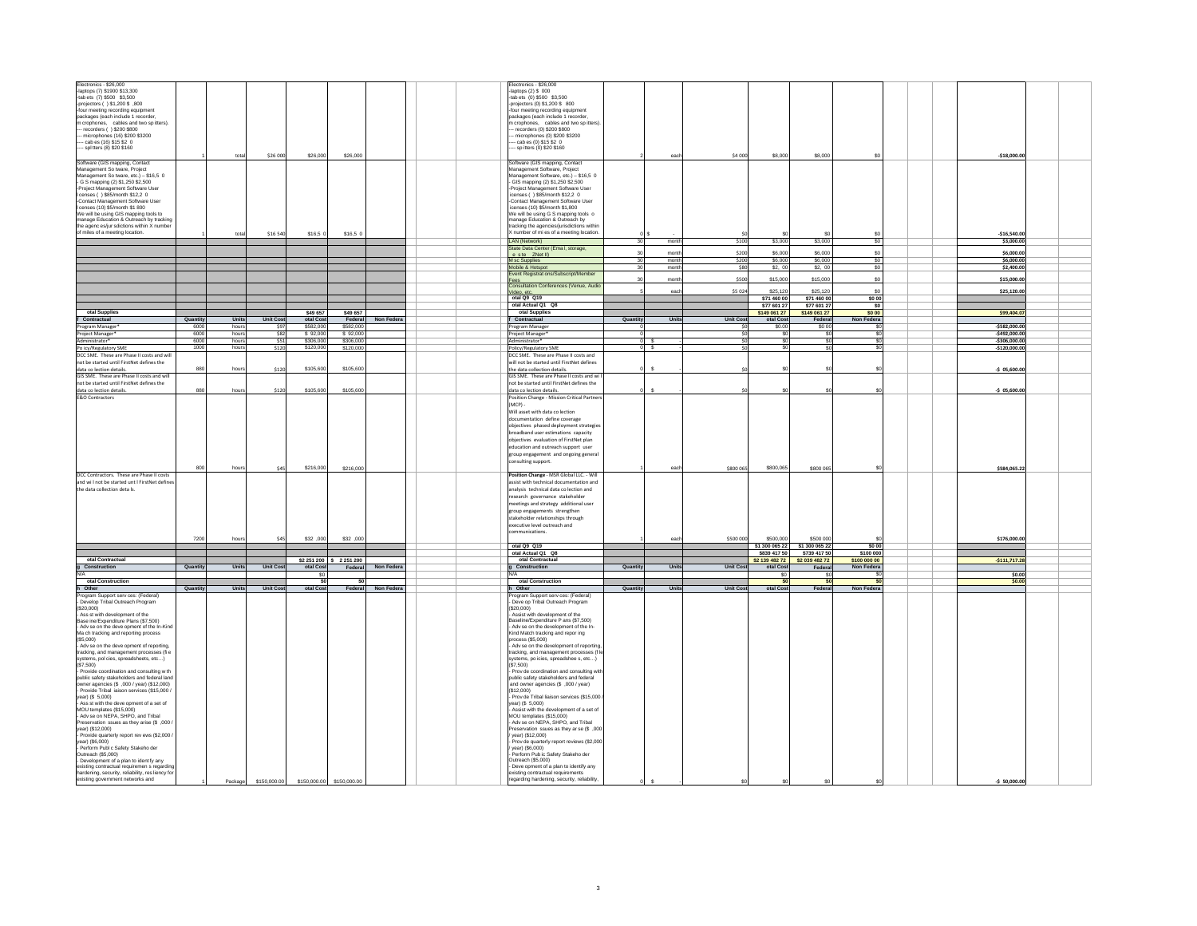| Electronics - \$26,000                                                                                                                  |          |       |                  |           |                          |            |  | Electronics - \$26,000                                                            |          |       |                  |                             |                             |               |                  |  |
|-----------------------------------------------------------------------------------------------------------------------------------------|----------|-------|------------------|-----------|--------------------------|------------|--|-----------------------------------------------------------------------------------|----------|-------|------------------|-----------------------------|-----------------------------|---------------|------------------|--|
| laptops (7) \$1900 \$13,300<br>-tab ets (7) \$500 \$3,500                                                                               |          |       |                  |           |                          |            |  | -laptops $(2)$ \$ 000<br>tab ets (0) \$500 \$3,500                                |          |       |                  |                             |                             |               |                  |  |
| -projectors ( ) \$1,200 \$ .800                                                                                                         |          |       |                  |           |                          |            |  | projectors (0) \$1,200 \$ 800                                                     |          |       |                  |                             |                             |               |                  |  |
| four meeting recording equipment                                                                                                        |          |       |                  |           |                          |            |  | four meeting recording equipment                                                  |          |       |                  |                             |                             |               |                  |  |
| packages (each include 1 recorder,                                                                                                      |          |       |                  |           |                          |            |  | packages (each include 1 recorder,                                                |          |       |                  |                             |                             |               |                  |  |
| m crophones, cables and two sp itters).<br>recorders ( ) \$200 \$800                                                                    |          |       |                  |           |                          |            |  | m crophones, cables and two sp itters)<br>recorders (0) \$200 \$800               |          |       |                  |                             |                             |               |                  |  |
| microphones (16) \$200 \$3200                                                                                                           |          |       |                  |           |                          |            |  | microphones (0) \$200 \$3200                                                      |          |       |                  |                             |                             |               |                  |  |
| - cab es (16) \$15 \$2 0                                                                                                                |          |       |                  |           |                          |            |  | - cab es (0) \$15 \$2 0                                                           |          |       |                  |                             |                             |               |                  |  |
| - spl tters (8) \$20 \$160                                                                                                              |          |       |                  |           |                          |            |  | - sp itters (0) \$20 \$160                                                        |          |       |                  |                             |                             |               |                  |  |
| Software (GIS mapping, Contact                                                                                                          |          | tota  | \$26,000         | \$26,000  | \$26,000                 |            |  |                                                                                   |          | ead   | \$4 000          | \$8,000                     | \$8,000                     |               | $-$18,000.00$    |  |
| Management So tware, Project                                                                                                            |          |       |                  |           |                          |            |  | Software (GIS mapping, Contact<br>Management Software, Project                    |          |       |                  |                             |                             |               |                  |  |
| Management So tware, etc.) - \$16,5 0                                                                                                   |          |       |                  |           |                          |            |  | Management Software, etc.) - \$16,5 0                                             |          |       |                  |                             |                             |               |                  |  |
| - G S mapping (2) \$1,250 \$2,500<br>-Project Management Software User                                                                  |          |       |                  |           |                          |            |  | - GIS mapping (2) \$1,250 \$2,500<br>Project Management Software User             |          |       |                  |                             |                             |               |                  |  |
| censes ( ) \$85/month \$12,2 0                                                                                                          |          |       |                  |           |                          |            |  | icenses ( ) \$85/month \$12,2 0                                                   |          |       |                  |                             |                             |               |                  |  |
| -Contact Management Software User                                                                                                       |          |       |                  |           |                          |            |  | -Contact Management Software User<br>icenses (10) \$5/month \$1,800               |          |       |                  |                             |                             |               |                  |  |
| I censes (10) \$5/month \$1 800<br>We will be using GIS mapping tools to                                                                |          |       |                  |           |                          |            |  | We will be using G S mapping tools o                                              |          |       |                  |                             |                             |               |                  |  |
| manage Education & Outreach by tracking                                                                                                 |          |       |                  |           |                          |            |  | nanage Education & Outreach by                                                    |          |       |                  |                             |                             |               |                  |  |
| the agenc es/jur sdictions within X numbe                                                                                               |          |       |                  |           |                          |            |  | tracking the agencies/jurisdictions within                                        |          |       |                  |                             |                             |               |                  |  |
| of miles of a meeting location.                                                                                                         |          |       | \$16 540         | \$16.5    | \$16.5 <sub>0</sub>      |            |  | number of mi es of a meeting location.                                            |          |       |                  |                             |                             |               | $-516.540.00$    |  |
|                                                                                                                                         |          |       |                  |           |                          |            |  | LAN (Network)                                                                     | 30       | month | \$100            | \$3,000                     | \$3,000                     | <sub>SO</sub> | \$3,000.00       |  |
|                                                                                                                                         |          |       |                  |           |                          |            |  | State Data Center (Ema I, storage,<br>e ste ZNet II)                              | 30       | mont  | \$200            | \$6,000                     | \$6,000                     | so            | \$6,000.00       |  |
|                                                                                                                                         |          |       |                  |           |                          |            |  | M sc Supplies                                                                     | 30       | mont  | \$200            | \$6,00                      | \$6,000                     | \$0           | \$6,000.00       |  |
|                                                                                                                                         |          |       |                  |           |                          |            |  | Mobile & Hotspot                                                                  | 30       | month | \$80             | \$2, 00                     | \$2,00                      | <sub>SO</sub> | \$2,400.00       |  |
|                                                                                                                                         |          |       |                  |           |                          |            |  | vent Registrat ons/Subscript/Membe<br>ees                                         | 30       | mont  | \$500            | \$15,000                    | \$15,000                    | $\mathbf{S}$  | \$15,000.00      |  |
|                                                                                                                                         |          |       |                  |           |                          |            |  | onsultation Conferences (Venue, Audio                                             |          |       |                  |                             |                             |               |                  |  |
|                                                                                                                                         |          |       |                  |           |                          |            |  | Video, etc                                                                        |          | eacl  | \$5 024          | \$25,120                    | \$25,120                    | so.           | \$25,120.00      |  |
|                                                                                                                                         |          |       |                  |           |                          |            |  | otal Q9 Q19<br>otal Actual Q1 Q8                                                  |          |       |                  | \$71 460 0<br>\$77 601 2    | \$71 460 00<br>\$77 601 27  | \$0 00        |                  |  |
| otal Supplies                                                                                                                           |          |       |                  | \$49 657  | \$49 657                 |            |  | otal Supplies                                                                     |          |       |                  | \$149 061 27                | \$149 061 27                | \$0 00        | \$99,404.07      |  |
| f Contractual                                                                                                                           | Quantity | Units | <b>Unit Cost</b> | otal Cos  | Federal                  | Non Feder  |  | Contractual                                                                       | Quantity | Units | <b>Unit Cost</b> | otal Cos                    | Federal                     | Non Federa    |                  |  |
| Program Manager                                                                                                                         | 600      | hour  | S9.              | \$582,00  | \$582,000                |            |  | Program Manage                                                                    |          |       |                  | \$0.0                       | \$0.00                      |               | $-$ \$582,000.00 |  |
| oject Manage                                                                                                                            | 6000     | hours | \$82             | \$92,000  | \$92,000                 |            |  | oject Manager                                                                     |          |       |                  |                             | \$0                         |               | \$492,000.00     |  |
| Administrator <sup>*</sup>                                                                                                              | 6000     | houn  | \$51             | \$306,00  | \$306,000                |            |  | Iministrator*                                                                     |          |       | 50               | ং                           | \$0                         | <b>SC</b>     | $-$306,000.00$   |  |
| Po icy/Regulatory SME                                                                                                                   | 1000     | hours | \$120            | \$120,00  | \$120,000                |            |  | olicy/Regulatory SME                                                              |          | 0S    |                  |                             | \$O                         |               | $-$120,000.00$   |  |
| DCC SME. These are Phase II costs and wi<br>not be started until FirstNet defines the                                                   |          |       |                  |           |                          |            |  | CC SME. These are Phase II costs and<br>ill not be started until FirstNet defines |          |       |                  |                             |                             |               |                  |  |
| data co lection details.                                                                                                                | 880      | hou   | \$120            | \$105,600 | \$105,600                |            |  | the data collection details.                                                      |          | s     |                  |                             |                             |               | $-5$ 05,600.00   |  |
| GIS SME. These are Phase II costs and will                                                                                              |          |       |                  |           |                          |            |  | GIS SME. These are Phase II costs and wi                                          |          |       |                  |                             |                             |               |                  |  |
| not be started until FirstNet defines the                                                                                               |          |       |                  |           |                          |            |  | not be started until FirstNet defines the                                         |          |       |                  |                             |                             |               |                  |  |
| data co lection details.                                                                                                                | 880      | hours | \$120            | \$105,600 | \$105,600                |            |  | data co lection details.                                                          |          | s     |                  |                             |                             |               | $-5$ 05,600.00   |  |
| <b>E&amp;O Contractors</b>                                                                                                              |          |       |                  |           |                          |            |  | osition Change - Mission Critical Partne<br>(MCP)                                 |          |       |                  |                             |                             |               |                  |  |
|                                                                                                                                         |          |       |                  |           |                          |            |  | Will asset with data co lection                                                   |          |       |                  |                             |                             |               |                  |  |
|                                                                                                                                         |          |       |                  |           |                          |            |  | documentation define coverage                                                     |          |       |                  |                             |                             |               |                  |  |
|                                                                                                                                         |          |       |                  |           |                          |            |  | objectives phased deployment strategies                                           |          |       |                  |                             |                             |               |                  |  |
|                                                                                                                                         |          |       |                  |           |                          |            |  | broadband user estimations capacity                                               |          |       |                  |                             |                             |               |                  |  |
|                                                                                                                                         |          |       |                  |           |                          |            |  | bjectives evaluation of FirstNet plan                                             |          |       |                  |                             |                             |               |                  |  |
|                                                                                                                                         |          |       |                  |           |                          |            |  | education and outreach support user<br>group engagement and ongoing general       |          |       |                  |                             |                             |               |                  |  |
|                                                                                                                                         |          |       |                  |           |                          |            |  | insulting support.                                                                |          |       |                  |                             |                             |               |                  |  |
|                                                                                                                                         | 800      | houn  | \$45             | \$216,000 | \$216,000                |            |  |                                                                                   |          | ead   | \$800 06         | \$800,065                   | \$800 065                   |               | \$584,065.22     |  |
| DCC Contractors. These are Phase II costs                                                                                               |          |       |                  |           |                          |            |  | Position Change - MSR Global LLC. - Will                                          |          |       |                  |                             |                             |               |                  |  |
| and will not be started unt I FirstNet define:                                                                                          |          |       |                  |           |                          |            |  | ssist with technical documentation and                                            |          |       |                  |                             |                             |               |                  |  |
| the data collection deta ls.                                                                                                            |          |       |                  |           |                          |            |  | analysis technical data co lection and                                            |          |       |                  |                             |                             |               |                  |  |
|                                                                                                                                         |          |       |                  |           |                          |            |  | esearch governance stakeholder<br>meetings and strategy additional user           |          |       |                  |                             |                             |               |                  |  |
|                                                                                                                                         |          |       |                  |           |                          |            |  | troup engagements strengthen                                                      |          |       |                  |                             |                             |               |                  |  |
|                                                                                                                                         |          |       |                  |           |                          |            |  | takeholder relationships through                                                  |          |       |                  |                             |                             |               |                  |  |
|                                                                                                                                         |          |       |                  |           |                          |            |  | xecutive level outreach and                                                       |          |       |                  |                             |                             |               |                  |  |
|                                                                                                                                         |          |       |                  |           |                          |            |  | munications                                                                       |          |       |                  |                             |                             |               |                  |  |
|                                                                                                                                         | 7200     | hour  | \$45             | \$32,000  | \$32,000                 |            |  | otal Q9 Q19                                                                       |          | eacl  | \$500,000        | \$500,000<br>\$1 300 065 22 | \$500 000<br>\$1 300 065 22 | \$0.00        | \$176,000.00     |  |
|                                                                                                                                         |          |       |                  |           |                          |            |  | otal Actual Q1 Q8                                                                 |          |       |                  | \$839 417 50                | \$739 417 50                | \$100 000     |                  |  |
| otal Contractual                                                                                                                        |          |       |                  |           | \$2 251 200 \$ 2 251 200 |            |  | otal Contractual                                                                  |          |       |                  | \$2 139 482 72              | \$2 039 482 72              | \$100 000 00  | $-5111, 717.28$  |  |
| Construction                                                                                                                            | Quantity | Unit  | <b>Unit Cos</b>  | otal Cos  | Federal                  | Non Feder  |  | Construction                                                                      | Quantity | Units | <b>Unit Cos</b>  | otal Cos                    | Federal                     | Non Federa    |                  |  |
| otal Construction                                                                                                                       |          |       |                  | <b>SC</b> |                          |            |  | otal Construction                                                                 |          |       |                  | s                           | \$0                         |               | \$0.00           |  |
| h Other                                                                                                                                 | Quantity | Units | <b>Unit Cost</b> | otal Cost | \$0<br>Federal           | Non Federa |  | Other                                                                             | Quantity | Units | <b>Unit Cost</b> | otal Cost                   | Federal                     | Non Federa    | \$0.00           |  |
| Program Support serv ces: (Federal)                                                                                                     |          |       |                  |           |                          |            |  | rogram Support serv ces: (Federal)                                                |          |       |                  |                             |                             |               |                  |  |
| - Develop Tribal Outreach Program                                                                                                       |          |       |                  |           |                          |            |  | Deve op Tribal Outreach Program                                                   |          |       |                  |                             |                             |               |                  |  |
| (\$20,000)<br>- Ass st with development of the                                                                                          |          |       |                  |           |                          |            |  | (S20.000)<br>Assist with development of the                                       |          |       |                  |                             |                             |               |                  |  |
| Base ine/Expenditure Plans (\$7.500)                                                                                                    |          |       |                  |           |                          |            |  | Baseline/Expenditure P ans (\$7,500)                                              |          |       |                  |                             |                             |               |                  |  |
| - Adv se on the deve coment of the In-King                                                                                              |          |       |                  |           |                          |            |  | - Adv se on the development of the In                                             |          |       |                  |                             |                             |               |                  |  |
| Ma ch tracking and reporting process                                                                                                    |          |       |                  |           |                          |            |  | Kind Match tracking and repor ing                                                 |          |       |                  |                             |                             |               |                  |  |
| (S5,000)<br>- Adv se on the deve coment of reporting                                                                                    |          |       |                  |           |                          |            |  | rocess (\$5,000)<br>Adv se on the development of reporting                        |          |       |                  |                             |                             |               |                  |  |
| tracking, and management processes (fi e                                                                                                |          |       |                  |           |                          |            |  | tracking, and management processes (fle                                           |          |       |                  |                             |                             |               |                  |  |
| systems, pol cies, spreadsheets, etc)                                                                                                   |          |       |                  |           |                          |            |  | ystems, po icies, spreadshee s, etc)                                              |          |       |                  |                             |                             |               |                  |  |
| (\$7,500)<br>- Provide coordination and consulting w th                                                                                 |          |       |                  |           |                          |            |  | (S7,500)<br>Prov de coordination and consulting wit                               |          |       |                  |                             |                             |               |                  |  |
| public safety stakeholders and federal land<br>owner agencies (\$ ,000 / year) (\$12,000)<br>Provide Tribal laison services (\$15,000 / |          |       |                  |           |                          |            |  | public safety stakeholders and federal                                            |          |       |                  |                             |                             |               |                  |  |
|                                                                                                                                         |          |       |                  |           |                          |            |  | and owner agencies (\$ ,000 / year)<br>(S12,000)                                  |          |       |                  |                             |                             |               |                  |  |
|                                                                                                                                         |          |       |                  |           |                          |            |  | Prov de Tribal liaison services (\$15,000                                         |          |       |                  |                             |                             |               |                  |  |
| year) (\$5,000)<br>- Ass st with the deve opment of a set of                                                                            |          |       |                  |           |                          |            |  | year) (\$ 5,000)                                                                  |          |       |                  |                             |                             |               |                  |  |
| MOU templates (\$15,000)                                                                                                                |          |       |                  |           |                          |            |  | Assist with the development of a set of                                           |          |       |                  |                             |                             |               |                  |  |
| - Adv se on NEPA, SHPO, and Tribal<br>Preservation ssues as they arise (\$ ,000                                                         |          |       |                  |           |                          |            |  | MOU templates (\$15,000)<br>- Adv se on NEPA, SHPO, and Tribal                    |          |       |                  |                             |                             |               |                  |  |
|                                                                                                                                         |          |       |                  |           |                          |            |  | 000, Preservation ssues as they ar se (\$ ,000                                    |          |       |                  |                             |                             |               |                  |  |
| year) (\$12,000)<br>- Provide quarterly report rev ews (\$2,000                                                                         |          |       |                  |           |                          |            |  | / year) (\$12.000)                                                                |          |       |                  |                             |                             |               |                  |  |
|                                                                                                                                         |          |       |                  |           |                          |            |  | Prov de quarterly report reviews (\$2,000                                         |          |       |                  |                             |                             |               |                  |  |
|                                                                                                                                         |          |       |                  |           |                          |            |  |                                                                                   |          |       |                  |                             |                             |               |                  |  |
| year) (\$6,000)<br>- Perform Public Safety Stakeholder<br>Outreach (\$5,000)                                                            |          |       |                  |           |                          |            |  | vear) (\$6,000)<br>Perform Pub ic Safety Stakeho der                              |          |       |                  |                             |                             |               |                  |  |
| - Development of a plan to ident fy any                                                                                                 |          |       |                  |           |                          |            |  | Outreach (\$5,000)                                                                |          |       |                  |                             |                             |               |                  |  |
| existing contractual requiremen s regarding<br>hardening, security, reliability, res liency for<br>existing government networks and     |          |       |                  |           |                          |            |  | Deve opment of a plan to identify any<br>existing contractual requirements        |          |       |                  |                             |                             |               |                  |  |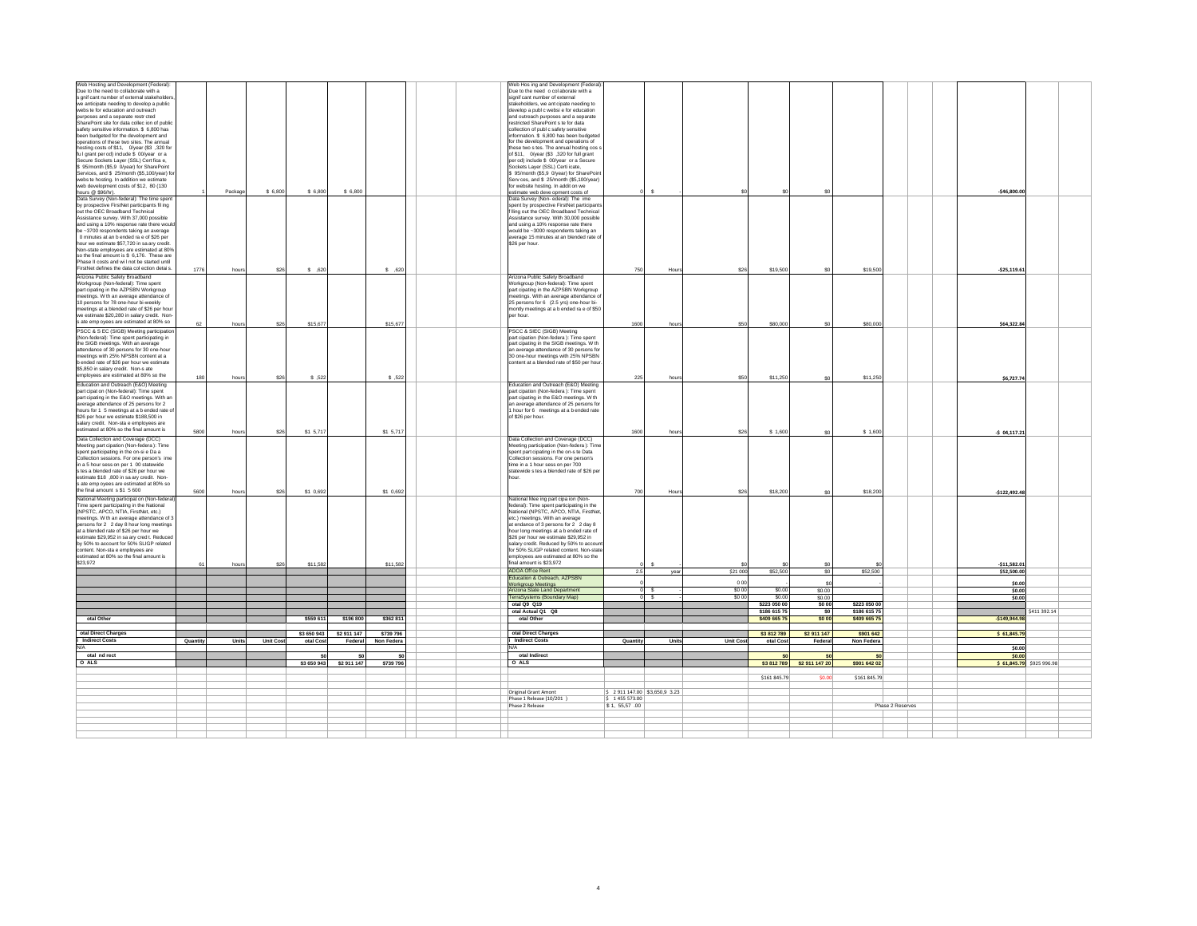| Web Hosting and Development (Federal):                                                                                                                                                                                                               |          |         |                 |             |                      |           | Web Hos ing and Development (Federal)                     |                             |                |          |              |                 |              |                  |                          |              |  |
|------------------------------------------------------------------------------------------------------------------------------------------------------------------------------------------------------------------------------------------------------|----------|---------|-----------------|-------------|----------------------|-----------|-----------------------------------------------------------|-----------------------------|----------------|----------|--------------|-----------------|--------------|------------------|--------------------------|--------------|--|
| Due to the need to collaborate with a                                                                                                                                                                                                                |          |         |                 |             |                      |           | Due to the need o col aborate with a                      |                             |                |          |              |                 |              |                  |                          |              |  |
| s gnif cant number of external stakeholde                                                                                                                                                                                                            |          |         |                 |             |                      |           | signif cant number of external                            |                             |                |          |              |                 |              |                  |                          |              |  |
|                                                                                                                                                                                                                                                      |          |         |                 |             |                      |           | stakeholders, we ant cipate needing to                    |                             |                |          |              |                 |              |                  |                          |              |  |
| we anticipate needing to develop a public<br>webs te for education and outreach                                                                                                                                                                      |          |         |                 |             |                      |           | develop a publ c websi e for education                    |                             |                |          |              |                 |              |                  |                          |              |  |
| purposes and a separate restr cted<br>SharePoint site for data collec ion of public<br>safety sensitive information. S 6,800 has<br>been budgeted for the development and<br>operations of these two sites. The annual                               |          |         |                 |             |                      |           | and outreach purposes and a separate                      |                             |                |          |              |                 |              |                  |                          |              |  |
|                                                                                                                                                                                                                                                      |          |         |                 |             |                      |           | restricted SharePoint s te for data                       |                             |                |          |              |                 |              |                  |                          |              |  |
|                                                                                                                                                                                                                                                      |          |         |                 |             |                      |           | collection of publ c safety sensitive                     |                             |                |          |              |                 |              |                  |                          |              |  |
|                                                                                                                                                                                                                                                      |          |         |                 |             |                      |           | formation. \$ 6,800 has been budgeted                     |                             |                |          |              |                 |              |                  |                          |              |  |
|                                                                                                                                                                                                                                                      |          |         |                 |             |                      |           | for the development and operations of                     |                             |                |          |              |                 |              |                  |                          |              |  |
| hosting costs of \$11, 0/year (\$3 ,320 for                                                                                                                                                                                                          |          |         |                 |             |                      |           |                                                           |                             |                |          |              |                 |              |                  |                          |              |  |
|                                                                                                                                                                                                                                                      |          |         |                 |             |                      |           | these two s tes. The annual hosting cos a                 |                             |                |          |              |                 |              |                  |                          |              |  |
| full grant per od) include \$ 00/year or a                                                                                                                                                                                                           |          |         |                 |             |                      |           | of \$11, O/year (\$3,320 for full grant                   |                             |                |          |              |                 |              |                  |                          |              |  |
|                                                                                                                                                                                                                                                      |          |         |                 |             |                      |           | per od) include \$ 00/year or a Secure                    |                             |                |          |              |                 |              |                  |                          |              |  |
|                                                                                                                                                                                                                                                      |          |         |                 |             |                      |           | Sockets Layer (SSL) Certi icate,                          |                             |                |          |              |                 |              |                  |                          |              |  |
| ful grant per od) include \$ 00/war or a<br>Secure Sockets Layer (SSL) Cert fica e,<br>S 95/month (\$5,9 0/year) for SharePoint<br>Services, and \$ 25/month (\$5,100/year) for<br>SharePoint<br>webs te hosting. In addition we estimate<br>buelo d |          |         |                 |             |                      |           | \$ 95/month (\$5,9 0/year) for SharePoin                  |                             |                |          |              |                 |              |                  |                          |              |  |
|                                                                                                                                                                                                                                                      |          |         |                 |             |                      |           | Serv ces, and \$ 25/month (\$5.100/year)                  |                             |                |          |              |                 |              |                  |                          |              |  |
|                                                                                                                                                                                                                                                      |          |         |                 |             |                      |           | for website hosting. In addit on we                       |                             |                |          |              |                 |              |                  |                          |              |  |
|                                                                                                                                                                                                                                                      |          | Package | \$ 6,800        | \$ 6,800    | \$6,800              |           | estimate web deve opment costs of                         |                             | $\mathbf{s}$   |          |              | \$0             |              |                  | $-$46,800.00$            |              |  |
|                                                                                                                                                                                                                                                      |          |         |                 |             |                      |           | Data Survey (Non-ederal): The ime                         |                             |                |          |              |                 |              |                  |                          |              |  |
| by prospective FirstNet participants fil ing                                                                                                                                                                                                         |          |         |                 |             |                      |           | spent by prospective FirstNet participant                 |                             |                |          |              |                 |              |                  |                          |              |  |
| out the OEC Broadband Technical                                                                                                                                                                                                                      |          |         |                 |             |                      |           | f Iling out the OEC Broadband Technical                   |                             |                |          |              |                 |              |                  |                          |              |  |
|                                                                                                                                                                                                                                                      |          |         |                 |             |                      |           |                                                           |                             |                |          |              |                 |              |                  |                          |              |  |
|                                                                                                                                                                                                                                                      |          |         |                 |             |                      |           | Assistance survey. With 30,000 possible                   |                             |                |          |              |                 |              |                  |                          |              |  |
| out allows and the state of the state of the state and using a 10% response rate there would<br>be ~3700 respondents taking an average<br>0 minutes at an b ended ra e of \$26 per                                                                   |          |         |                 |             |                      |           | and using a 10% response rate there                       |                             |                |          |              |                 |              |                  |                          |              |  |
|                                                                                                                                                                                                                                                      |          |         |                 |             |                      |           | would be ~3000 respondents taking an                      |                             |                |          |              |                 |              |                  |                          |              |  |
|                                                                                                                                                                                                                                                      |          |         |                 |             |                      |           | average 15 minutes at an blended rate of                  |                             |                |          |              |                 |              |                  |                          |              |  |
| hour we estimate \$57,720 in sa ary credit.                                                                                                                                                                                                          |          |         |                 |             |                      |           | \$26 per hour.                                            |                             |                |          |              |                 |              |                  |                          |              |  |
| Non-state employees are estimated at 80%                                                                                                                                                                                                             |          |         |                 |             |                      |           |                                                           |                             |                |          |              |                 |              |                  |                          |              |  |
| so the final amount is \$ 6,176. These are                                                                                                                                                                                                           |          |         |                 |             |                      |           |                                                           |                             |                |          |              |                 |              |                  |                          |              |  |
|                                                                                                                                                                                                                                                      |          |         |                 |             |                      |           |                                                           |                             |                |          |              |                 |              |                  |                          |              |  |
| Phase II costs and will not be started until<br>FirstNet defines the data collection details                                                                                                                                                         | 1776     | hours   | \$26            | $$-.620$    |                      | \$,620    |                                                           | 750                         | Hours          | \$26     | \$19,500     | sn.             | \$19,500     |                  |                          |              |  |
|                                                                                                                                                                                                                                                      |          |         |                 |             |                      |           |                                                           |                             |                |          |              |                 |              |                  | $-525,119.61$            |              |  |
| Anticona Public Safety Broadband<br>Morkgroup (Non-federal): Time spent<br>part cipating in the AZPSBN Workgroup<br>meetings. W th an average attendance of                                                                                          |          |         |                 |             |                      |           | Arizona Public Safety Broadband                           |                             |                |          |              |                 |              |                  |                          |              |  |
|                                                                                                                                                                                                                                                      |          |         |                 |             |                      |           | Workgroup (Non-federal): Time spent                       |                             |                |          |              |                 |              |                  |                          |              |  |
|                                                                                                                                                                                                                                                      |          |         |                 |             |                      |           | part cipating in the AZPSBN Workgroup                     |                             |                |          |              |                 |              |                  |                          |              |  |
|                                                                                                                                                                                                                                                      |          |         |                 |             |                      |           | meetings. With an average attendance of                   |                             |                |          |              |                 |              |                  |                          |              |  |
| 10 persons for 78 one-hour bi-weekly                                                                                                                                                                                                                 |          |         |                 |             |                      |           | 25 persons for 6 (2.5 yrs) one-hour bi-                   |                             |                |          |              |                 |              |                  |                          |              |  |
|                                                                                                                                                                                                                                                      |          |         |                 |             |                      |           | montly meetings at a b ended ra e of \$50                 |                             |                |          |              |                 |              |                  |                          |              |  |
|                                                                                                                                                                                                                                                      |          |         |                 |             |                      |           | per hour.                                                 |                             |                |          |              |                 |              |                  |                          |              |  |
| meetings at a blended rate of \$26 per hour<br>we estimate \$20,280 in salary credit. Non-<br>s ate emp oyees are estimated at 80% so                                                                                                                |          |         |                 |             |                      |           |                                                           |                             |                |          |              |                 |              |                  |                          |              |  |
|                                                                                                                                                                                                                                                      | 62       | hours   | \$26            | \$15,677    |                      | \$15,67   |                                                           | 1600                        | hours          | \$50     | \$80,000     | \$0             | \$80,000     |                  | \$64,322.84              |              |  |
| PSCC & S EC (SIGB) Meeting participatio                                                                                                                                                                                                              |          |         |                 |             |                      |           | PSCC & SIEC (SIGB) Meeting                                |                             |                |          |              |                 |              |                  |                          |              |  |
| (Non-federal): Time spent participating in<br>the SIGB meetings. With an average                                                                                                                                                                     |          |         |                 |             |                      |           | art cipation (Non-federa): Time spent                     |                             |                |          |              |                 |              |                  |                          |              |  |
|                                                                                                                                                                                                                                                      |          |         |                 |             |                      |           | part cipating in the SIGB meetings. W th                  |                             |                |          |              |                 |              |                  |                          |              |  |
|                                                                                                                                                                                                                                                      |          |         |                 |             |                      |           |                                                           |                             |                |          |              |                 |              |                  |                          |              |  |
|                                                                                                                                                                                                                                                      |          |         |                 |             |                      |           | an average attendance of 30 persons for                   |                             |                |          |              |                 |              |                  |                          |              |  |
|                                                                                                                                                                                                                                                      |          |         |                 |             |                      |           | 30 one-hour meetings with 25% NPSBN                       |                             |                |          |              |                 |              |                  |                          |              |  |
|                                                                                                                                                                                                                                                      |          |         |                 |             |                      |           | content at a blended rate of \$50 per hour                |                             |                |          |              |                 |              |                  |                          |              |  |
| and other and a persons for 30 one-hour<br>meetings with 25% NPSBN content at a<br>b ended rate of \$26 per hour we estimate<br>\$5,850 in salary credit. Non-s ate                                                                                  |          |         |                 |             |                      |           |                                                           |                             |                |          |              |                 |              |                  |                          |              |  |
|                                                                                                                                                                                                                                                      | 180      | hours   | \$26            | \$ ,522     |                      | \$ 523    |                                                           | 225                         | hours          | \$50     | \$11,250     | <b>SO</b>       | \$11,250     |                  | \$6,727.74               |              |  |
| employees are estimated at 80% so the<br>Education and Outreach (E&O) Meeting                                                                                                                                                                        |          |         |                 |             |                      |           |                                                           |                             |                |          |              |                 |              |                  |                          |              |  |
|                                                                                                                                                                                                                                                      |          |         |                 |             |                      |           | Education and Outreach (E&O) Meeting                      |                             |                |          |              |                 |              |                  |                          |              |  |
|                                                                                                                                                                                                                                                      |          |         |                 |             |                      |           | part cipation (Non-federa): Time spent                    |                             |                |          |              |                 |              |                  |                          |              |  |
|                                                                                                                                                                                                                                                      |          |         |                 |             |                      |           | part cipating in the E&O meetings. W th                   |                             |                |          |              |                 |              |                  |                          |              |  |
| Exercise of Non-federal): Time spent<br>part cipat on (Non-federal): Time spent<br>part cipating in the E&O meetings. With an<br>average attendance of 25 persons for 2<br>hours for 1 5 meetings at a b ended rate of                               |          |         |                 |             |                      |           | an average attendance of 25 persons for                   |                             |                |          |              |                 |              |                  |                          |              |  |
|                                                                                                                                                                                                                                                      |          |         |                 |             |                      |           | 1 hour for 6 meetings at a b ended rate                   |                             |                |          |              |                 |              |                  |                          |              |  |
|                                                                                                                                                                                                                                                      |          |         |                 |             |                      |           | of \$26 per hour.                                         |                             |                |          |              |                 |              |                  |                          |              |  |
|                                                                                                                                                                                                                                                      |          |         |                 |             |                      |           |                                                           |                             |                |          |              |                 |              |                  |                          |              |  |
| sex of the settimate \$188,500 in<br>salary credit. Non-sta e employees are<br>estimated at 80% so the final amount is                                                                                                                               |          |         |                 |             |                      |           |                                                           |                             |                |          |              |                 |              |                  |                          |              |  |
|                                                                                                                                                                                                                                                      | 5800     | hours   | \$26            | \$1 5,717   |                      | \$1 5,717 |                                                           | 1600                        | hours          | \$26     | \$1,600      | SO              | \$1,600      |                  | $-5$ 04,117.21           |              |  |
| Data Collection and Coverage (DCC)<br>Meeting part cipation (Non-federa ): Time<br>spent participating in the on-si e Da a                                                                                                                           |          |         |                 |             |                      |           | Data Collection and Coverage (DCC)                        |                             |                |          |              |                 |              |                  |                          |              |  |
|                                                                                                                                                                                                                                                      |          |         |                 |             |                      |           | leeting participation (Non-federa): Time                  |                             |                |          |              |                 |              |                  |                          |              |  |
|                                                                                                                                                                                                                                                      |          |         |                 |             |                      |           | spent part cipating in the on-s te Data                   |                             |                |          |              |                 |              |                  |                          |              |  |
| Collection sessions. For one person's ime                                                                                                                                                                                                            |          |         |                 |             |                      |           | Collection sessions. For one person's                     |                             |                |          |              |                 |              |                  |                          |              |  |
|                                                                                                                                                                                                                                                      |          |         |                 |             |                      |           | time in a 1 hour sess on per 700                          |                             |                |          |              |                 |              |                  |                          |              |  |
| in a 5 hour sess on per 1 00 statewide                                                                                                                                                                                                               |          |         |                 |             |                      |           |                                                           |                             |                |          |              |                 |              |                  |                          |              |  |
| s tes a blended rate of \$26 per hour we                                                                                                                                                                                                             |          |         |                 |             |                      |           | statewide s tes a blended rate of \$26 per                |                             |                |          |              |                 |              |                  |                          |              |  |
|                                                                                                                                                                                                                                                      |          |         |                 |             |                      |           | hour                                                      |                             |                |          |              |                 |              |                  |                          |              |  |
|                                                                                                                                                                                                                                                      |          |         |                 |             |                      |           |                                                           |                             |                |          |              |                 |              |                  |                          |              |  |
| estimate \$18,800 in sa ary credit. Non-<br>s ate emp oyees are estimated at 80% so<br>the final amount s \$1 5 600                                                                                                                                  | 5600     | houn    | \$26            | \$1 0,692   |                      | \$1 0,692 |                                                           | 700                         | Houn           | \$26     | \$18,200     | <b>SO</b>       | \$18,200     |                  | $-$122,492.48$           |              |  |
|                                                                                                                                                                                                                                                      |          |         |                 |             |                      |           |                                                           |                             |                |          |              |                 |              |                  |                          |              |  |
|                                                                                                                                                                                                                                                      |          |         |                 |             |                      |           | National Mee ing part cipa ion (Non-                      |                             |                |          |              |                 |              |                  |                          |              |  |
| The spent participating in the National<br>Trime spent participating in the National<br>Trime spent participating in the National<br>(NPSTC, APCO, NTIA, FirstNet, etc.)<br>meetings. W th an average attendance of 3                                |          |         |                 |             |                      |           | federal): Time spent participating in the                 |                             |                |          |              |                 |              |                  |                          |              |  |
|                                                                                                                                                                                                                                                      |          |         |                 |             |                      |           | National (NPSTC, APCO, NTIA, FirstNet                     |                             |                |          |              |                 |              |                  |                          |              |  |
|                                                                                                                                                                                                                                                      |          |         |                 |             |                      |           | etc.) meetings. With an average                           |                             |                |          |              |                 |              |                  |                          |              |  |
| persons for 2 2 day 8 hour long meetings                                                                                                                                                                                                             |          |         |                 |             |                      |           | at endance of 3 persons for 2 2 day 8                     |                             |                |          |              |                 |              |                  |                          |              |  |
| at a blended rate of \$26 per hour we                                                                                                                                                                                                                |          |         |                 |             |                      |           | hour long meetings at a b ended rate of                   |                             |                |          |              |                 |              |                  |                          |              |  |
| estimate \$29,952 in sa ary cred t. Reduce                                                                                                                                                                                                           |          |         |                 |             |                      |           | \$26 per hour we estimate \$29,952 in                     |                             |                |          |              |                 |              |                  |                          |              |  |
| by 50% to account for 50% SLIGP related                                                                                                                                                                                                              |          |         |                 |             |                      |           | salary credit. Reduced by 50% to accour                   |                             |                |          |              |                 |              |                  |                          |              |  |
| content. Non-sta e employees are                                                                                                                                                                                                                     |          |         |                 |             |                      |           | for 50% SLIGP related content. Non-state                  |                             |                |          |              |                 |              |                  |                          |              |  |
|                                                                                                                                                                                                                                                      |          |         |                 |             |                      |           |                                                           |                             |                |          |              |                 |              |                  |                          |              |  |
| estimated at 80% so the final amount is<br>\$23,972                                                                                                                                                                                                  |          |         |                 |             |                      |           | employees are estimated at 80% so the                     |                             |                |          |              |                 |              |                  |                          |              |  |
|                                                                                                                                                                                                                                                      | 61       | hours   | \$26            | \$11,582    |                      | \$11,582  | final amount is \$23,972                                  |                             |                |          |              |                 |              |                  | $-511,582.01$            |              |  |
|                                                                                                                                                                                                                                                      |          |         |                 |             |                      |           | ADOA Off ce Rent                                          | 2.5                         | year           | \$21 000 | \$52,500     | so l            | \$52,500     |                  | \$52,500.00              |              |  |
|                                                                                                                                                                                                                                                      |          |         |                 |             |                      |           | Education & Outreach, AZPSBN                              |                             |                |          |              |                 |              |                  |                          |              |  |
|                                                                                                                                                                                                                                                      |          |         |                 |             |                      |           |                                                           |                             |                | 0.00     |              | \$0             |              |                  | \$0.00                   |              |  |
|                                                                                                                                                                                                                                                      |          |         |                 |             |                      |           | <b>Workaroup Meetings</b><br>rizona State Land Department |                             | n s            | \$0.00   | \$00         |                 |              |                  | \$0.00                   |              |  |
|                                                                                                                                                                                                                                                      |          |         |                 |             |                      |           |                                                           |                             |                |          |              | \$0.00          |              |                  |                          |              |  |
|                                                                                                                                                                                                                                                      |          |         |                 |             |                      |           | erraSystems (Boundary Map)                                |                             | 0 <sup>5</sup> | \$0.00   | \$0.0        | \$0.00          |              |                  | \$0.00                   |              |  |
|                                                                                                                                                                                                                                                      |          |         |                 |             |                      |           | otal Q9 Q19                                               |                             |                |          | \$223,050.00 | <b>SO 00</b>    | \$223,050,00 |                  |                          |              |  |
|                                                                                                                                                                                                                                                      |          |         |                 |             |                      |           | otal Actual O1 O8                                         |                             |                |          | \$186,615.75 | \$0             | \$186,615.75 |                  |                          | \$411 392.14 |  |
| otal Other                                                                                                                                                                                                                                           |          |         |                 |             |                      |           | otal Other                                                |                             |                |          |              |                 |              |                  |                          |              |  |
|                                                                                                                                                                                                                                                      |          |         |                 | \$559 611   | \$196 800            | \$362 81  |                                                           |                             |                |          | \$409 665 75 | \$0 00          | \$409 665 7  |                  | $-5149,944.98$           |              |  |
|                                                                                                                                                                                                                                                      |          |         |                 |             |                      |           |                                                           |                             |                |          |              |                 |              |                  |                          |              |  |
| otal Direct Charges                                                                                                                                                                                                                                  |          |         |                 | \$3,650,943 | \$2,911,147          | \$739 796 | otal Direct Charges                                       |                             |                |          | \$3812789    | \$2,911,147     | \$901,642    |                  | \$61,845.79              |              |  |
| i Indirect Costs                                                                                                                                                                                                                                     | Quantity | Units   | <b>Unit Cos</b> | otal Co     | Non Feder<br>Federal |           | <b>Indirect Costs</b>                                     | Quantity                    | Units          | Unit Cos | otal Cos     | Federal         | Non Federa   |                  |                          |              |  |
| N                                                                                                                                                                                                                                                    |          |         |                 |             |                      |           |                                                           |                             |                |          |              |                 |              |                  |                          |              |  |
|                                                                                                                                                                                                                                                      |          |         |                 |             |                      |           |                                                           |                             |                |          |              |                 |              |                  | \$0.00                   |              |  |
| otal nd rect                                                                                                                                                                                                                                         |          |         |                 | - ¢r        | \$0                  | - Cr      | otal Indirect                                             |                             |                |          |              | SO <sub>2</sub> |              |                  | \$0.00                   |              |  |
| otal n<br>O ALS                                                                                                                                                                                                                                      |          |         |                 | \$3 650 943 | \$2 911 147          | \$739 796 | O ALS                                                     |                             |                |          | \$3 812 789  | \$2 911 147 20  | \$901 642 02 |                  | \$61,845.79 \$925 996.98 |              |  |
|                                                                                                                                                                                                                                                      |          |         |                 |             |                      |           |                                                           |                             |                |          |              |                 |              |                  |                          |              |  |
|                                                                                                                                                                                                                                                      |          |         |                 |             |                      |           |                                                           |                             |                |          |              |                 |              |                  |                          |              |  |
|                                                                                                                                                                                                                                                      |          |         |                 |             |                      |           |                                                           |                             |                |          | \$161 845.79 | \$0.00          | \$161 845.79 |                  |                          |              |  |
|                                                                                                                                                                                                                                                      |          |         |                 |             |                      |           |                                                           |                             |                |          |              |                 |              |                  |                          |              |  |
|                                                                                                                                                                                                                                                      |          |         |                 |             |                      |           |                                                           |                             |                |          |              |                 |              |                  |                          |              |  |
|                                                                                                                                                                                                                                                      |          |         |                 |             |                      |           |                                                           |                             |                |          |              |                 |              |                  |                          |              |  |
|                                                                                                                                                                                                                                                      |          |         |                 |             |                      |           | <b>Original Grant Amont</b>                               | \$2911147.00 \$3,650,9 3.23 |                |          |              |                 |              |                  |                          |              |  |
|                                                                                                                                                                                                                                                      |          |         |                 |             |                      |           | Phase 1 Release (10/201)                                  | \$1455573.00                |                |          |              |                 |              |                  |                          |              |  |
|                                                                                                                                                                                                                                                      |          |         |                 |             |                      |           | Phase 2 Release                                           | \$1,55,57.00                |                |          |              |                 |              | Phase 2 Reserves |                          |              |  |
|                                                                                                                                                                                                                                                      |          |         |                 |             |                      |           |                                                           |                             |                |          |              |                 |              |                  |                          |              |  |
|                                                                                                                                                                                                                                                      |          |         |                 |             |                      |           |                                                           |                             |                |          |              |                 |              |                  |                          |              |  |
|                                                                                                                                                                                                                                                      |          |         |                 |             |                      |           |                                                           |                             |                |          |              |                 |              |                  |                          |              |  |
|                                                                                                                                                                                                                                                      |          |         |                 |             |                      |           |                                                           |                             |                |          |              |                 |              |                  |                          |              |  |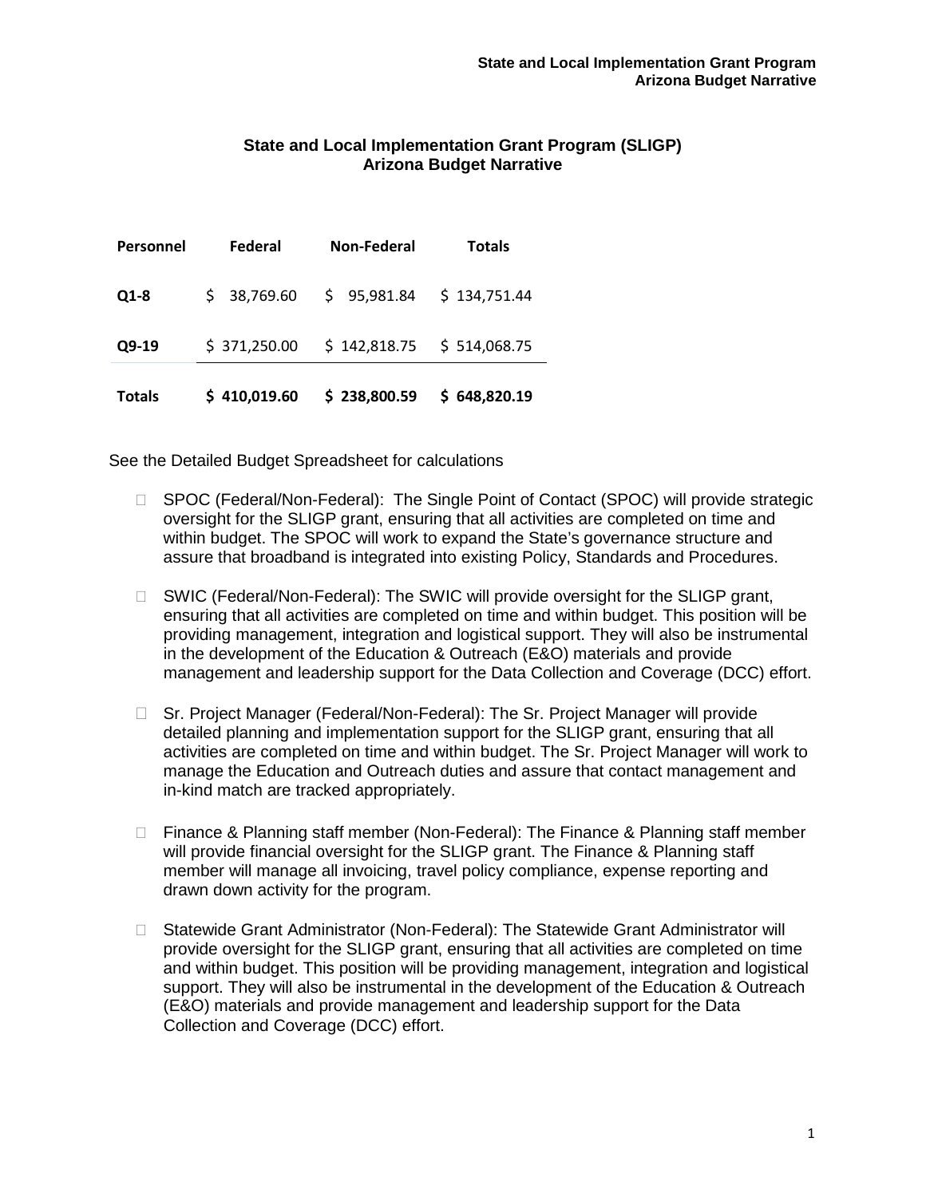# **State and Local Implementation Grant Program (SLIGP) Arizona Budget Narrative**

| <b>Totals</b> | \$410,019.60   | \$238,800.59                | \$648,820.19  |
|---------------|----------------|-----------------------------|---------------|
| $Q9-19$       | \$371,250.00   | $$142,818.75$ $$514,068.75$ |               |
| $Q1-8$        | \$38,769.60    | \$95,981.84                 | \$134,751.44  |
| Personnel     | <b>Federal</b> | <b>Non-Federal</b>          | <b>Totals</b> |

- □ SPOC (Federal/Non-Federal): The Single Point of Contact (SPOC) will provide strategic oversight for the SLIGP grant, ensuring that all activities are completed on time and within budget. The SPOC will work to expand the State's governance structure and assure that broadband is integrated into existing Policy, Standards and Procedures.
- □ SWIC (Federal/Non-Federal): The SWIC will provide oversight for the SLIGP grant, ensuring that all activities are completed on time and within budget. This position will be providing management, integration and logistical support. They will also be instrumental in the development of the Education & Outreach (E&O) materials and provide management and leadership support for the Data Collection and Coverage (DCC) effort.
- □ Sr. Project Manager (Federal/Non-Federal): The Sr. Project Manager will provide detailed planning and implementation support for the SLIGP grant, ensuring that all activities are completed on time and within budget. The Sr. Project Manager will work to manage the Education and Outreach duties and assure that contact management and in-kind match are tracked appropriately.
- □ Finance & Planning staff member (Non-Federal): The Finance & Planning staff member will provide financial oversight for the SLIGP grant. The Finance & Planning staff member will manage all invoicing, travel policy compliance, expense reporting and drawn down activity for the program.
- □ Statewide Grant Administrator (Non-Federal): The Statewide Grant Administrator will provide oversight for the SLIGP grant, ensuring that all activities are completed on time and within budget. This position will be providing management, integration and logistical support. They will also be instrumental in the development of the Education & Outreach (E&O) materials and provide management and leadership support for the Data Collection and Coverage (DCC) effort.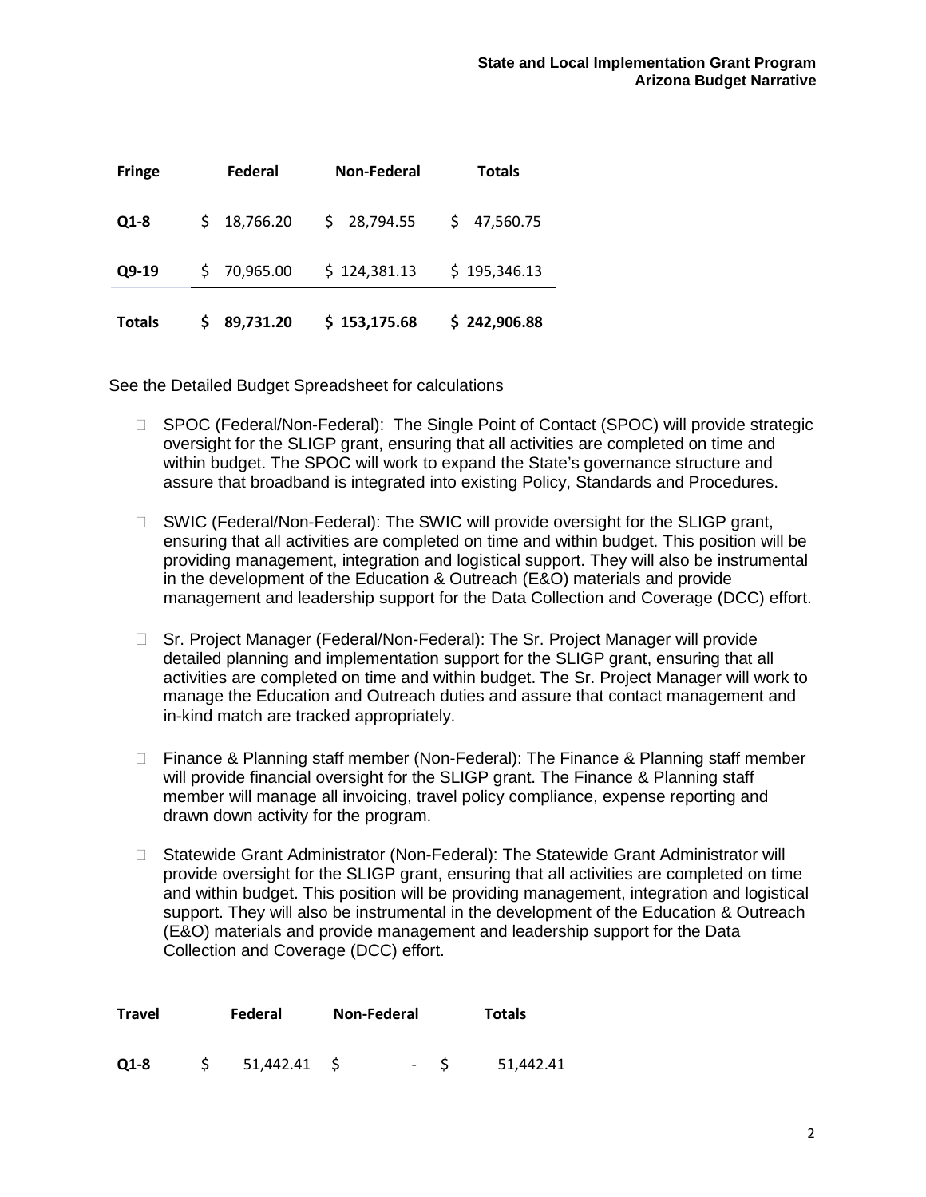| <b>Totals</b> | 89,731.20 | \$153,175.68 | \$242,906.88    |
|---------------|-----------|--------------|-----------------|
| Q9-19         | 70,965.00 | \$124,381.13 | \$195,346.13    |
| $Q1-8$        | 18,766.20 | \$28,794.55  | 47,560.75<br>S. |
| <b>Fringe</b> | Federal   | Non-Federal  | Totals          |

- □ SPOC (Federal/Non-Federal): The Single Point of Contact (SPOC) will provide strategic oversight for the SLIGP grant, ensuring that all activities are completed on time and within budget. The SPOC will work to expand the State's governance structure and assure that broadband is integrated into existing Policy, Standards and Procedures.
- □ SWIC (Federal/Non-Federal): The SWIC will provide oversight for the SLIGP grant, ensuring that all activities are completed on time and within budget. This position will be providing management, integration and logistical support. They will also be instrumental in the development of the Education & Outreach (E&O) materials and provide management and leadership support for the Data Collection and Coverage (DCC) effort.
- □ Sr. Project Manager (Federal/Non-Federal): The Sr. Project Manager will provide detailed planning and implementation support for the SLIGP grant, ensuring that all activities are completed on time and within budget. The Sr. Project Manager will work to manage the Education and Outreach duties and assure that contact management and in-kind match are tracked appropriately.
- $\Box$  Finance & Planning staff member (Non-Federal): The Finance & Planning staff member will provide financial oversight for the SLIGP grant. The Finance & Planning staff member will manage all invoicing, travel policy compliance, expense reporting and drawn down activity for the program.
- □ Statewide Grant Administrator (Non-Federal): The Statewide Grant Administrator will provide oversight for the SLIGP grant, ensuring that all activities are completed on time and within budget. This position will be providing management, integration and logistical support. They will also be instrumental in the development of the Education & Outreach (E&O) materials and provide management and leadership support for the Data Collection and Coverage (DCC) effort.

| <b>Travel</b> | Federal      | <b>Non-Federal</b> |       | <b>Totals</b> |
|---------------|--------------|--------------------|-------|---------------|
| $Q1-8$        | 51,442.41 \$ |                    | $- S$ | 51,442.41     |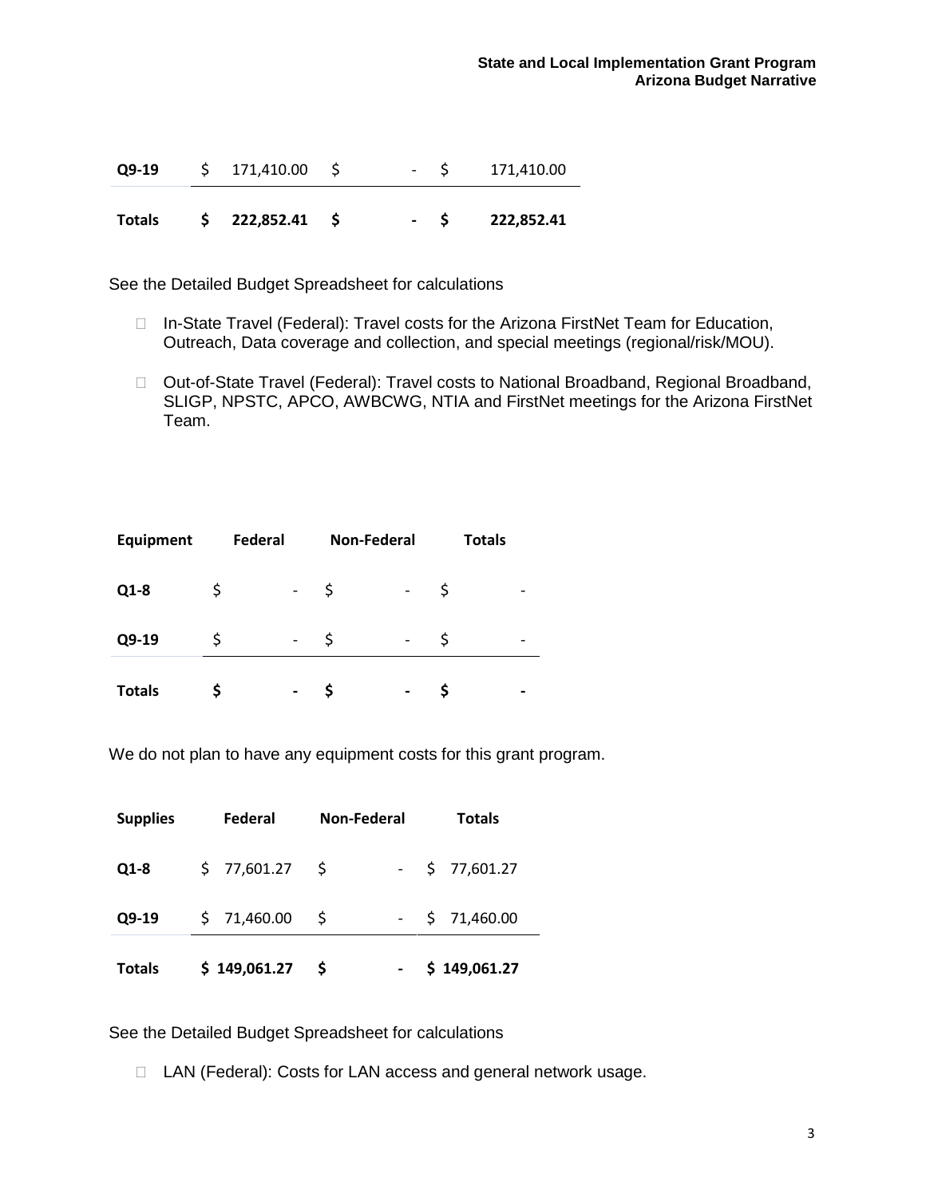| Q9-19 | 171,410.00 | $\overline{\phantom{a}}$ | 171,410.00 |
|-------|------------|--------------------------|------------|
|       |            |                          |            |

**Totals \$ 222,852.41 \$ - \$ 222,852.41**

See the Detailed Budget Spreadsheet for calculations

- □ In-State Travel (Federal): Travel costs for the Arizona FirstNet Team for Education, Outreach, Data coverage and collection, and special meetings (regional/risk/MOU).
- □ Out-of-State Travel (Federal): Travel costs to National Broadband, Regional Broadband, SLIGP, NPSTC, APCO, AWBCWG, NTIA and FirstNet meetings for the Arizona FirstNet Team.

| <b>Equipment</b> | Federal |   | <b>Non-Federal</b> | <b>Totals</b> |  |
|------------------|---------|---|--------------------|---------------|--|
| $Q1-8$           |         |   | \$                 | Ş             |  |
| Q9-19            | Ş       | - | S                  | Ş             |  |
| <b>Totals</b>    |         |   |                    |               |  |

We do not plan to have any equipment costs for this grant program.

| <b>Supplies</b> | Federal      | <b>Non-Federal</b> |  | <b>Totals</b> |                  |  |
|-----------------|--------------|--------------------|--|---------------|------------------|--|
| $Q1-8$          | \$77,601.27  | - S                |  |               | $-$ \$ 77,601.27 |  |
| Q9-19           | \$71,460.00  | S                  |  |               | $-$ \$ 71,460.00 |  |
| <b>Totals</b>   | \$149,061.27 | -S                 |  |               | \$149,061.27     |  |

See the Detailed Budget Spreadsheet for calculations

□ LAN (Federal): Costs for LAN access and general network usage.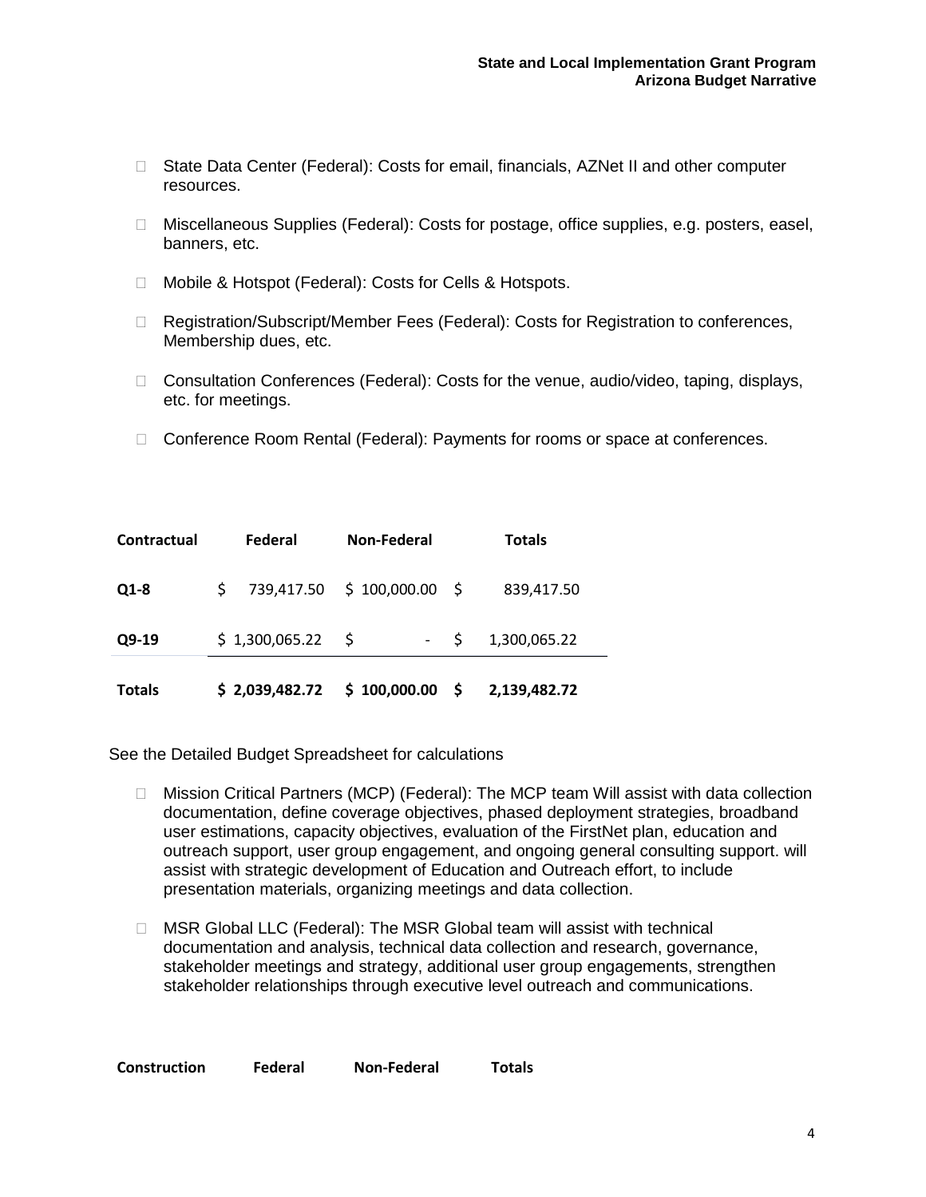- □ State Data Center (Federal): Costs for email, financials, AZNet II and other computer resources.
- □ Miscellaneous Supplies (Federal): Costs for postage, office supplies, e.g. posters, easel, banners, etc.
- □ Mobile & Hotspot (Federal): Costs for Cells & Hotspots.
- □ Registration/Subscript/Member Fees (Federal): Costs for Registration to conferences, Membership dues, etc.
- □ Consultation Conferences (Federal): Costs for the venue, audio/video, taping, displays, etc. for meetings.
- □ Conference Room Rental (Federal): Payments for rooms or space at conferences.

| Contractual   | <b>Federal</b> |                            | Non-Federal  | <b>Totals</b> |              |  |
|---------------|----------------|----------------------------|--------------|---------------|--------------|--|
| $Q1-8$        | S.             | 739,417.50 \$100,000.00 \$ |              |               | 839,417.50   |  |
| Q9-19         |                | \$1,300,065.22             | $- S$        |               | 1,300,065.22 |  |
| <b>Totals</b> |                | \$2,039,482.72             | \$100,000.00 | - \$          | 2,139,482.72 |  |

- Mission Critical Partners (MCP) (Federal): The MCP team Will assist with data collection documentation, define coverage objectives, phased deployment strategies, broadband user estimations, capacity objectives, evaluation of the FirstNet plan, education and outreach support, user group engagement, and ongoing general consulting support. will assist with strategic development of Education and Outreach effort, to include presentation materials, organizing meetings and data collection.
- □ MSR Global LLC (Federal): The MSR Global team will assist with technical documentation and analysis, technical data collection and research, governance, stakeholder meetings and strategy, additional user group engagements, strengthen stakeholder relationships through executive level outreach and communications.

|  | <b>Construction</b> | Federal | Non-Federal | <b>Totals</b> |
|--|---------------------|---------|-------------|---------------|
|--|---------------------|---------|-------------|---------------|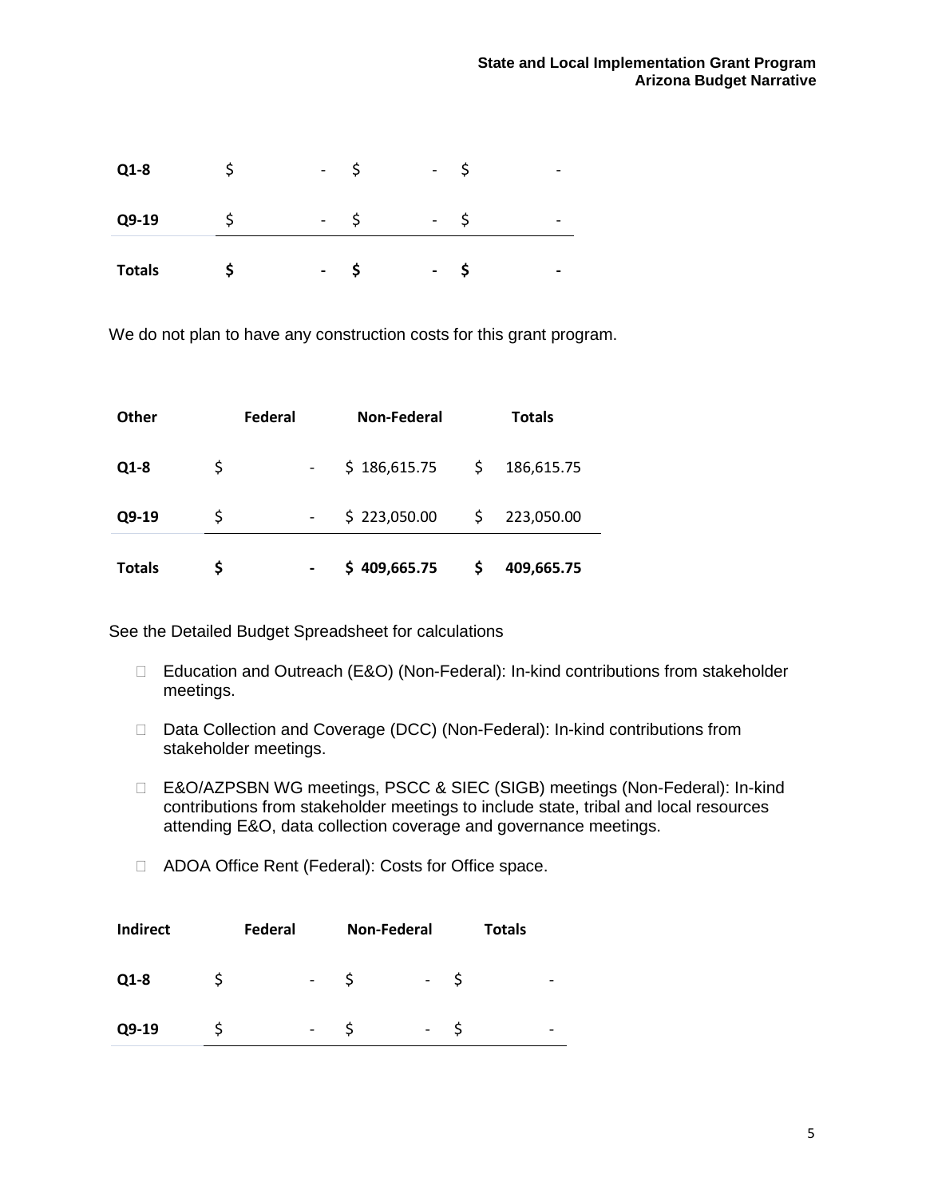| <b>Totals</b> | $\overline{\phantom{0}}$ | $\overline{\phantom{0}}$ |  |
|---------------|--------------------------|--------------------------|--|
| Q9-19         | -                        | -                        |  |
| Q1-8          | $\overline{\phantom{0}}$ | $\overline{\phantom{a}}$ |  |

We do not plan to have any construction costs for this grant program.

| <b>Other</b>  |    | Federal | Non-Federal      |    | <b>Totals</b> |
|---------------|----|---------|------------------|----|---------------|
| $Q1-8$        | \$ |         | \$186,615.75     | \$ | 186,615.75    |
| $Q9-19$       | \$ |         | \$223,050.00     |    | 223,050.00    |
| <b>Totals</b> | S  |         | 409,665.75<br>S. | S  | 409,665.75    |

- □ Education and Outreach (E&O) (Non-Federal): In-kind contributions from stakeholder meetings.
- □ Data Collection and Coverage (DCC) (Non-Federal): In-kind contributions from stakeholder meetings.
- □ E&O/AZPSBN WG meetings, PSCC & SIEC (SIGB) meetings (Non-Federal): In-kind contributions from stakeholder meetings to include state, tribal and local resources attending E&O, data collection coverage and governance meetings.
- □ ADOA Office Rent (Federal): Costs for Office space.

| <b>Indirect</b> | Federal |                              | <b>Non-Federal</b>       | Totals |   |
|-----------------|---------|------------------------------|--------------------------|--------|---|
| $Q1-8$          |         | $\qquad \qquad \blacksquare$ | $\overline{\phantom{a}}$ |        | - |
| Q9-19           |         | -                            | $\overline{\phantom{a}}$ |        | - |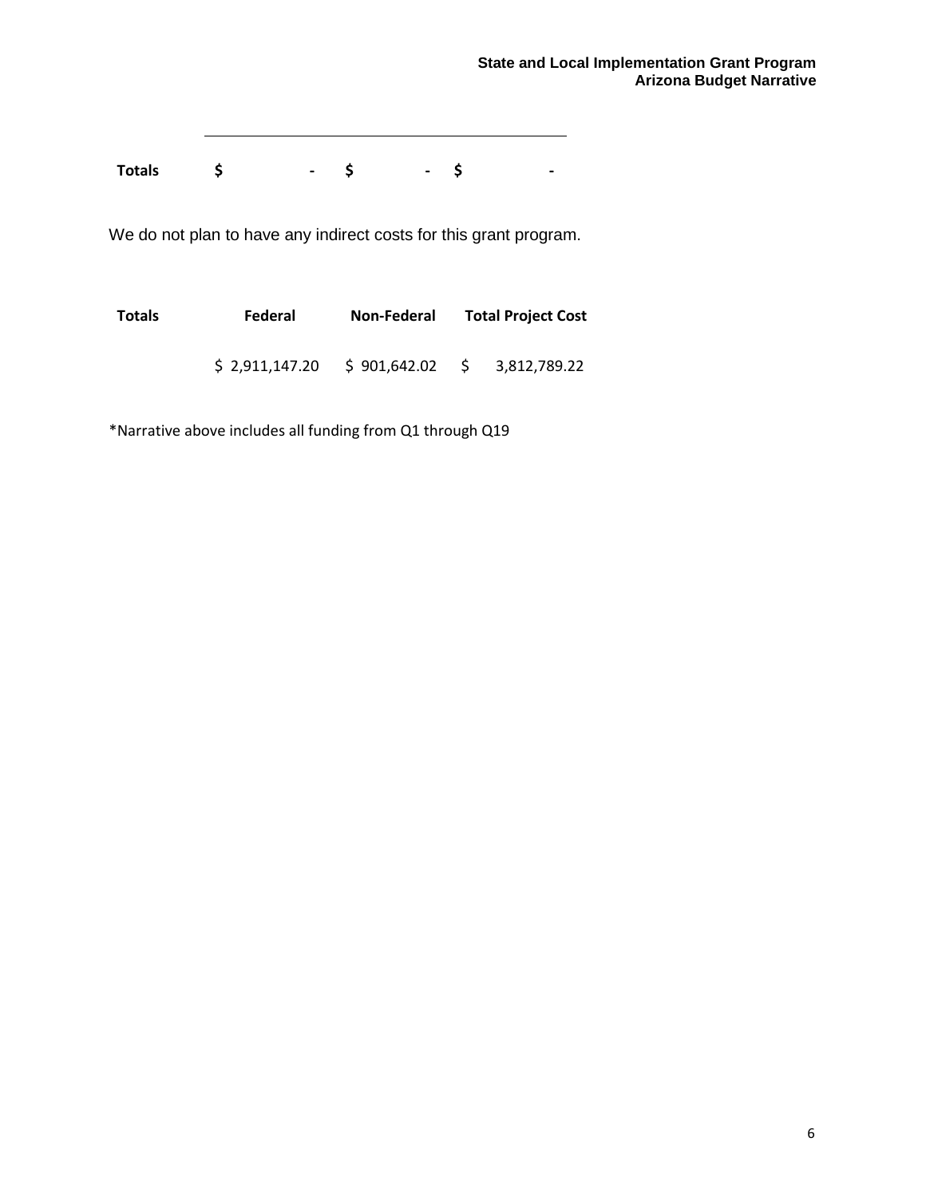**Totals \$ - \$ - \$ -** 

We do not plan to have any indirect costs for this grant program.

| Totals | Federal        | Non-Federal  | <b>Total Project Cost</b> |                |  |  |
|--------|----------------|--------------|---------------------------|----------------|--|--|
|        | \$2,911,147.20 | S 901.642.02 |                           | \$3,812,789.22 |  |  |

\*Narrative above includes all funding from Q1 through Q19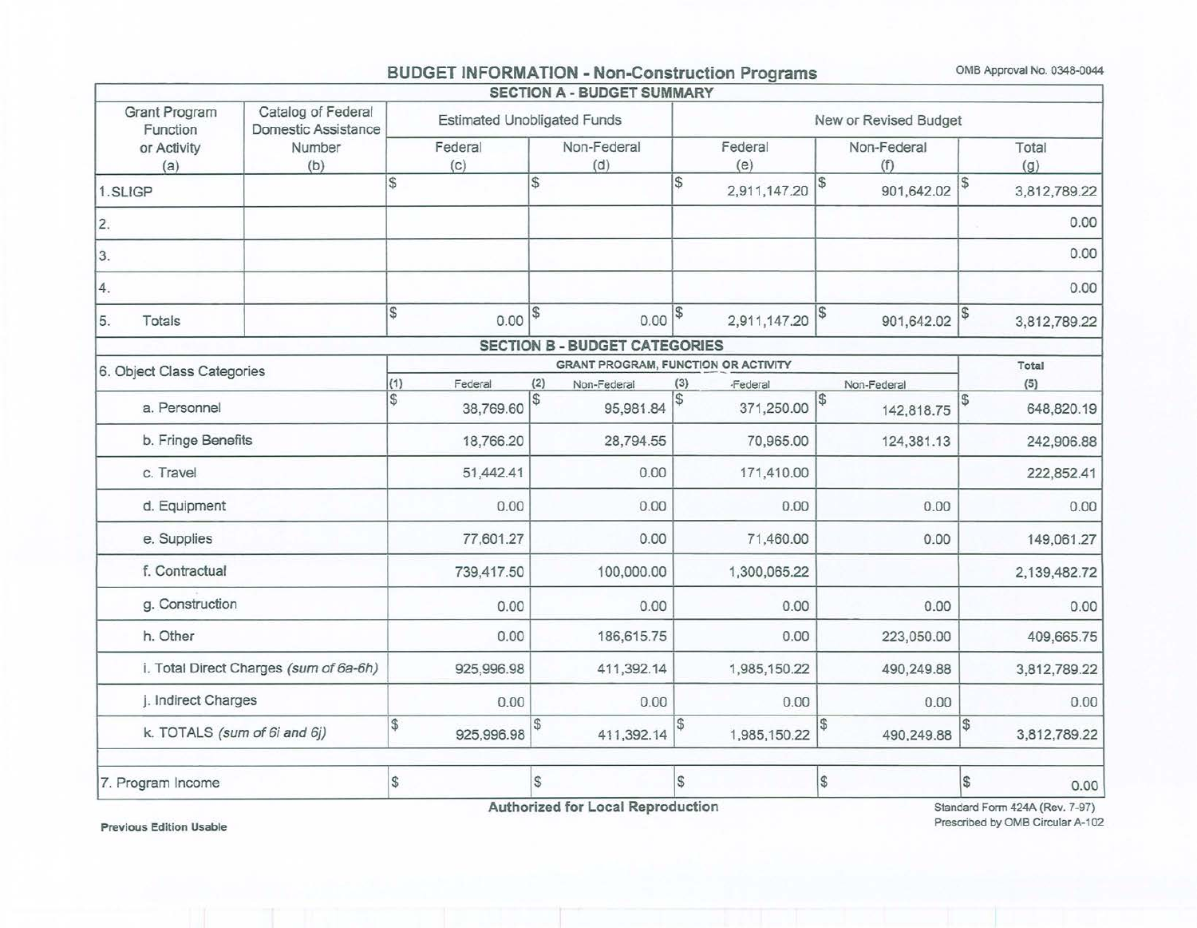## BUDGET INFORMATION - Non-Construction Programs OMB Approval No. 0348-0044

| <b>Estimated Unobligated Funds</b><br>Federal<br>(c) |              | Non-Federal                                |               |                |    | New or Revised Budget |                    |
|------------------------------------------------------|--------------|--------------------------------------------|---------------|----------------|----|-----------------------|--------------------|
|                                                      |              | (d)                                        |               | Federal<br>(e) |    | Non-Federal<br>(f)    | Total<br>(g)       |
| \$                                                   | S            |                                            | \$            | 2,911,147.20   | S  | 901,642.02            | 3,812,789.22       |
|                                                      |              |                                            |               |                |    |                       | 0.00               |
|                                                      |              |                                            |               |                |    |                       | 0.00               |
|                                                      |              |                                            |               |                |    |                       | 0.00               |
| \$<br>0.00                                           | \$           | 0.00                                       | $\mathcal{S}$ | 2,911,147.20   |    | 901,642.02            | 3,812,789.22       |
|                                                      |              | <b>SECTION B - BUDGET CATEGORIES</b>       |               |                |    |                       |                    |
|                                                      |              | <b>GRANT PROGRAM, FUNCTION OR ACTIVITY</b> |               |                |    |                       | Total              |
| (1)<br>Federal                                       | (2)          | Non-Federal                                | (3)           | <b>Federal</b> |    | Non-Federal           | (5)                |
| \$<br>38,769.60                                      | $\mathbb{S}$ | 95,981.84                                  | \$            | 371,250.00     | \$ | 142,818.75            | 648,820.19         |
| 18,766.20                                            |              | 28,794.55                                  |               | 70,965.00      |    | 124,381.13            | 242,906.88         |
| 51,442.41                                            |              | 0.00                                       |               | 171,410.00     |    |                       | 222,852.41         |
| 0.00                                                 |              | 0.00                                       |               | 0.00           |    | 0.00                  | 0.00               |
| 77,601.27                                            |              | 0.00                                       |               | 71,460.00      |    | 0.00                  | 149,061.27         |
| 739,417.50                                           |              | 100,000.00                                 |               | 1,300,065.22   |    |                       | 2,139,482.72       |
| 0.00                                                 |              | 0.00                                       |               | 0.00           |    | 0.00                  | 0.00               |
| 0.00                                                 |              | 186,615.75                                 |               | 0.00           |    | 223,050.00            | 409,665.75         |
| 925,996.98                                           |              | 411,392.14                                 |               | 1,985,150.22   |    | 490,249.88            | 3,812,789.22       |
| 0.00                                                 |              | 0.00                                       |               | 0.00           |    | 0.00                  | 0.00               |
| $\mathbb{S}$<br>925,996.98                           | S            | 411,392.14                                 | S)            | 1,985,150.22   |    | 490,249.88            | \$<br>3,812,789.22 |
|                                                      |              |                                            |               |                |    |                       |                    |
|                                                      |              |                                            |               |                |    |                       |                    |

Previous Edition Usable

Standard Fonn 424A (Rev. 7-97) Prescribed by OMB Circular A-102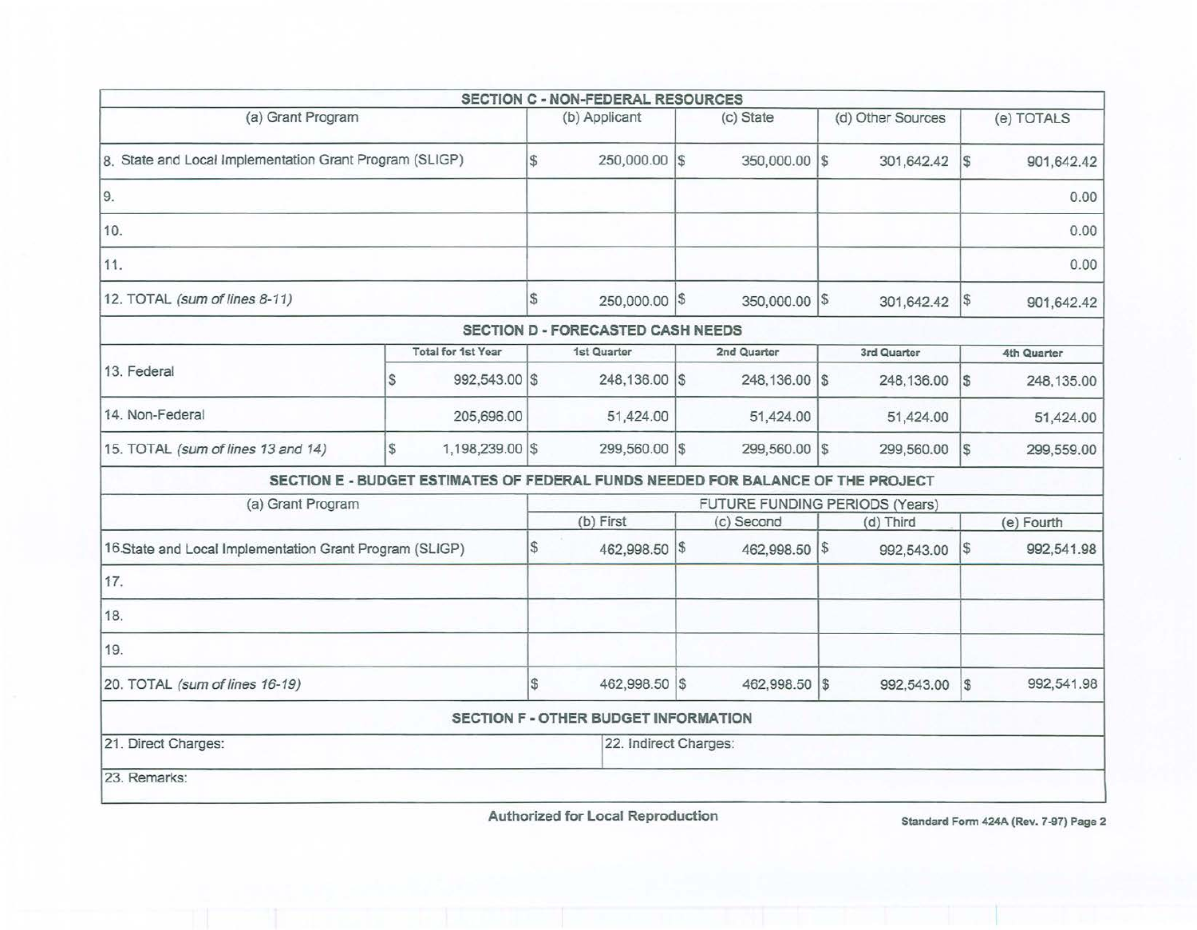|                                                         |                |                           |               | <b>SECTION C - NON-FEDERAL RESOURCES</b>    |                                                                                 |   |                   |            |             |
|---------------------------------------------------------|----------------|---------------------------|---------------|---------------------------------------------|---------------------------------------------------------------------------------|---|-------------------|------------|-------------|
| (a) Grant Program                                       |                |                           |               | (b) Applicant                               | (c) State                                                                       |   | (d) Other Sources |            | (e) TOTALS  |
| 8. State and Local Implementation Grant Program (SLIGP) |                |                           | $\mathbb{S}$  | 250,000.00 \$                               | 350,000.00 \$                                                                   |   | 301,642.42        | 1\$        | 901,642.42  |
| 9.                                                      |                |                           |               |                                             |                                                                                 |   |                   |            | 0.00        |
| 10.                                                     |                |                           |               |                                             |                                                                                 |   |                   |            | 0.00        |
| 11.                                                     |                |                           |               |                                             |                                                                                 |   |                   |            | 0.00        |
| 12. TOTAL (sum of lines 8-11)                           |                |                           | $\mathbb{S}$  | 250,000.00 \$                               | 350,000.00 \$                                                                   |   | 301,642.42        | 1\$        | 901,642.42  |
|                                                         |                |                           |               | SECTION D - FORECASTED CASH NEEDS           |                                                                                 |   |                   |            |             |
|                                                         |                | <b>Total for 1st Year</b> |               | 1st Quarter                                 | 2nd Quarter                                                                     |   | 3rd Quarter       |            | 4th Quarter |
| 13. Federal                                             | S              | 992,543.00 \$             |               | 248,136.00 \$                               | 248,136.00 \$                                                                   |   | 248,136.00        | \$         | 248,135.00  |
| 14. Non-Federal                                         |                | 205,696.00                |               | 51,424.00                                   | 51,424.00                                                                       |   | 51,424.00         |            | 51,424.00   |
| 15. TOTAL (sum of lines 13 and 14)                      | $$\mathbb{S}$$ | 1,198,239.00 \$           |               | 299,560.00 \$                               | 299,560.00                                                                      | S | 299,560.00        | l\$        | 299,559.00  |
|                                                         |                |                           |               |                                             | SECTION E - BUDGET ESTIMATES OF FEDERAL FUNDS NEEDED FOR BALANCE OF THE PROJECT |   |                   |            |             |
| (a) Grant Program                                       |                |                           |               |                                             | FUTURE FUNDING PERIODS (Years)                                                  |   |                   |            |             |
|                                                         |                |                           |               | (b) First                                   | (c) Second                                                                      |   | (d) Third         |            | (e) Fourth  |
| 16.State and Local Implementation Grant Program (SLIGP) |                |                           | $\frac{3}{2}$ | 462,998.50 \$                               | 462,998.50 \$                                                                   |   | 992,543.00        | $\sqrt{3}$ | 992,541.98  |
| 17.                                                     |                |                           |               |                                             |                                                                                 |   |                   |            |             |
| 18.                                                     |                |                           |               |                                             |                                                                                 |   |                   |            |             |
| 19.                                                     |                |                           |               |                                             |                                                                                 |   |                   |            |             |
| 20. TOTAL (sum of lines 16-19)                          |                |                           | $\sqrt{3}$    | 462,998.50 \$                               | 462,998.50 \$                                                                   |   | 992,543.00        | $\sqrt{S}$ | 992,541.98  |
|                                                         |                |                           |               | <b>SECTION F - OTHER BUDGET INFORMATION</b> |                                                                                 |   |                   |            |             |
| 21. Direct Charges:                                     |                |                           |               | 22. Indirect Charges:                       |                                                                                 |   |                   |            |             |
| 23. Remarks:                                            |                |                           |               |                                             |                                                                                 |   |                   |            |             |

Authorized for Local Reproduction Standard Form 424A (Rev. 7-97) Page 2